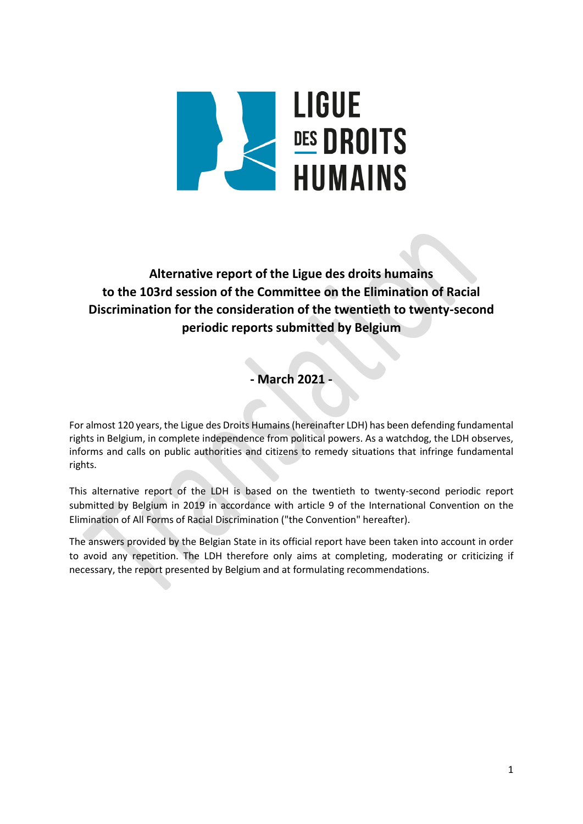

**Alternative report of the Ligue des droits humains to the 103rd session of the Committee on the Elimination of Racial Discrimination for the consideration of the twentieth to twenty-second periodic reports submitted by Belgium**

**- March 2021 -**

For almost 120 years, the Ligue des Droits Humains (hereinafter LDH) has been defending fundamental rights in Belgium, in complete independence from political powers. As a watchdog, the LDH observes, informs and calls on public authorities and citizens to remedy situations that infringe fundamental rights.

This alternative report of the LDH is based on the twentieth to twenty-second periodic report submitted by Belgium in 2019 in accordance with article 9 of the International Convention on the Elimination of All Forms of Racial Discrimination ("the Convention" hereafter).

The answers provided by the Belgian State in its official report have been taken into account in order to avoid any repetition. The LDH therefore only aims at completing, moderating or criticizing if necessary, the report presented by Belgium and at formulating recommendations.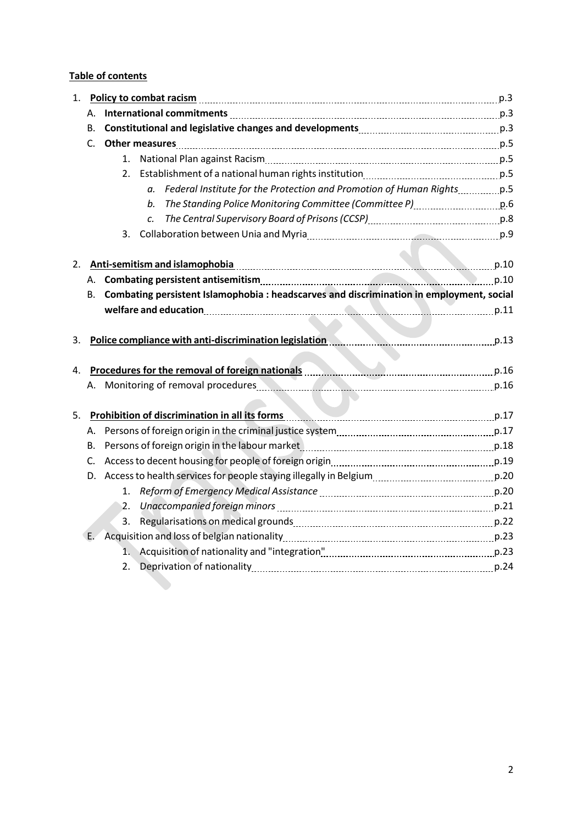## **Table of contents**

| 1. |                                                                                      | Policy to combat racism Mathematical Compact Policy to combat racism Mathematical Compact Policy to combat racism |                                                                                                                 |  |
|----|--------------------------------------------------------------------------------------|-------------------------------------------------------------------------------------------------------------------|-----------------------------------------------------------------------------------------------------------------|--|
|    | А.                                                                                   |                                                                                                                   |                                                                                                                 |  |
|    | В.                                                                                   |                                                                                                                   |                                                                                                                 |  |
|    | C.                                                                                   |                                                                                                                   |                                                                                                                 |  |
|    |                                                                                      | 1.                                                                                                                |                                                                                                                 |  |
|    |                                                                                      | 2.                                                                                                                |                                                                                                                 |  |
|    |                                                                                      |                                                                                                                   | Federal Institute for the Protection and Promotion of Human Rights [1995].                                      |  |
|    |                                                                                      |                                                                                                                   | The Standing Police Monitoring Committee (Committee P) [1996] The Standing Police Monitoring Committee P)<br>b. |  |
|    |                                                                                      |                                                                                                                   | c.                                                                                                              |  |
|    |                                                                                      | 3.                                                                                                                |                                                                                                                 |  |
|    |                                                                                      |                                                                                                                   |                                                                                                                 |  |
| 2. | Anti-semitism and islamophobia                                                       |                                                                                                                   |                                                                                                                 |  |
|    |                                                                                      |                                                                                                                   |                                                                                                                 |  |
|    | В.                                                                                   | Combating persistent Islamophobia : headscarves and discrimination in employment, social                          |                                                                                                                 |  |
|    |                                                                                      | welfare and education manufacture and part and part of the part of the part of the part of the part of the part   |                                                                                                                 |  |
|    |                                                                                      |                                                                                                                   |                                                                                                                 |  |
| 3. |                                                                                      |                                                                                                                   | Police compliance with anti-discrimination legislation entitled and parameters of 13                            |  |
|    |                                                                                      |                                                                                                                   |                                                                                                                 |  |
| 4. | Procedures for the removal of foreign nationals <b>Example 20 and Container</b> p.16 |                                                                                                                   |                                                                                                                 |  |
|    |                                                                                      | A. Monitoring of removal procedures <b>A. M. M. M. M. M. M. M. A. M. M. M. M. M. M. 16</b>                        |                                                                                                                 |  |
|    |                                                                                      |                                                                                                                   |                                                                                                                 |  |
| 5. |                                                                                      |                                                                                                                   | Prohibition of discrimination in all its forms manufactured and p.17                                            |  |
|    |                                                                                      |                                                                                                                   |                                                                                                                 |  |
|    | В.                                                                                   |                                                                                                                   | Persons of foreign origin in the labour market [1, 1, 2010] p.18 [1, 2010] p.18                                 |  |
|    | C.                                                                                   |                                                                                                                   |                                                                                                                 |  |
|    |                                                                                      |                                                                                                                   |                                                                                                                 |  |
|    |                                                                                      | 1.                                                                                                                | Reform of Emergency Medical Assistance [11, 2014] Reform of Emergency Medical Assistance [11, 2016]             |  |
|    |                                                                                      | 2.                                                                                                                |                                                                                                                 |  |
|    |                                                                                      |                                                                                                                   | Unaccompanied foreign minors [11, 2010] Unaccompanied foreign minors [11, 2010] Unaccompanied foreign minors [  |  |
|    |                                                                                      |                                                                                                                   |                                                                                                                 |  |
|    | Œ.                                                                                   |                                                                                                                   |                                                                                                                 |  |
|    |                                                                                      |                                                                                                                   |                                                                                                                 |  |
|    |                                                                                      | 2.                                                                                                                |                                                                                                                 |  |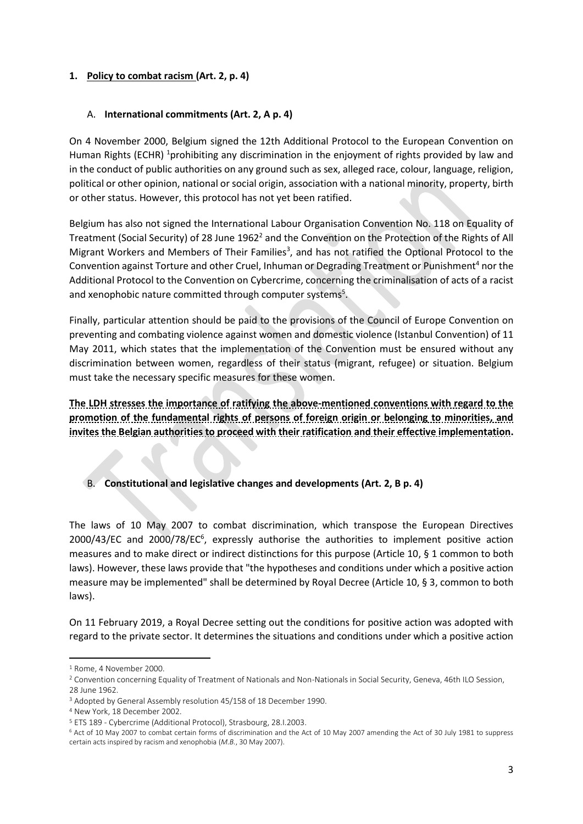#### **1. Policy to combat racism (Art. 2, p. 4)**

#### A. **International commitments (Art. 2, A p. 4)**

On 4 November 2000, Belgium signed the 12th Additional Protocol to the European Convention on Human Rights (ECHR) <sup>1</sup>prohibiting any discrimination in the enjoyment of rights provided by law and in the conduct of public authorities on any ground such as sex, alleged race, colour, language, religion, political or other opinion, national or social origin, association with a national minority, property, birth or other status. However, this protocol has not yet been ratified.

Belgium has also not signed the International Labour Organisation Convention No. 118 on Equality of Treatment (Social Security) of 28 June 1962<sup>2</sup> and the Convention on the Protection of the Rights of All Migrant Workers and Members of Their Families<sup>3</sup>, and has not ratified the Optional Protocol to the Convention against Torture and other Cruel, Inhuman or Degrading Treatment or Punishment<sup>4</sup> nor the Additional Protocol to the Convention on Cybercrime, concerning the criminalisation of acts of a racist and xenophobic nature committed through computer systems<sup>5</sup>.

Finally, particular attention should be paid to the provisions of the Council of Europe Convention on preventing and combating violence against women and domestic violence (Istanbul Convention) of 11 May 2011, which states that the implementation of the Convention must be ensured without any discrimination between women, regardless of their status (migrant, refugee) or situation. Belgium must take the necessary specific measures for these women.

**The LDH stresses the importance of ratifying the above-mentioned conventions with regard to the promotion of the fundamental rights of persons of foreign origin or belonging to minorities, and invites the Belgian authorities to proceed with their ratification and their effective implementation.** 

B. **Constitutional and legislative changes and developments (Art. 2, B p. 4)**

The laws of 10 May 2007 to combat discrimination, which transpose the European Directives 2000/43/EC and 2000/78/EC<sup>6</sup>, expressly authorise the authorities to implement positive action measures and to make direct or indirect distinctions for this purpose (Article 10, § 1 common to both laws). However, these laws provide that "the hypotheses and conditions under which a positive action measure may be implemented" shall be determined by Royal Decree (Article 10, § 3, common to both laws).

On 11 February 2019, a Royal Decree setting out the conditions for positive action was adopted with regard to the private sector. It determines the situations and conditions under which a positive action

 $\overline{a}$ 

<sup>1</sup> Rome, 4 November 2000.

<sup>&</sup>lt;sup>2</sup> Convention concerning Equality of Treatment of Nationals and Non-Nationals in Social Security, Geneva, 46th ILO Session, 28 June 1962.

<sup>3</sup> Adopted by General Assembly resolution 45/158 of 18 December 1990.

<sup>4</sup> New York, 18 December 2002.

<sup>5</sup> ETS 189 - Cybercrime (Additional Protocol), Strasbourg, 28.I.2003.

<sup>6</sup> Act of 10 May 2007 to combat certain forms of discrimination and the Act of 10 May 2007 amending the Act of 30 July 1981 to suppress certain acts inspired by racism and xenophobia (*M.B.*, 30 May 2007).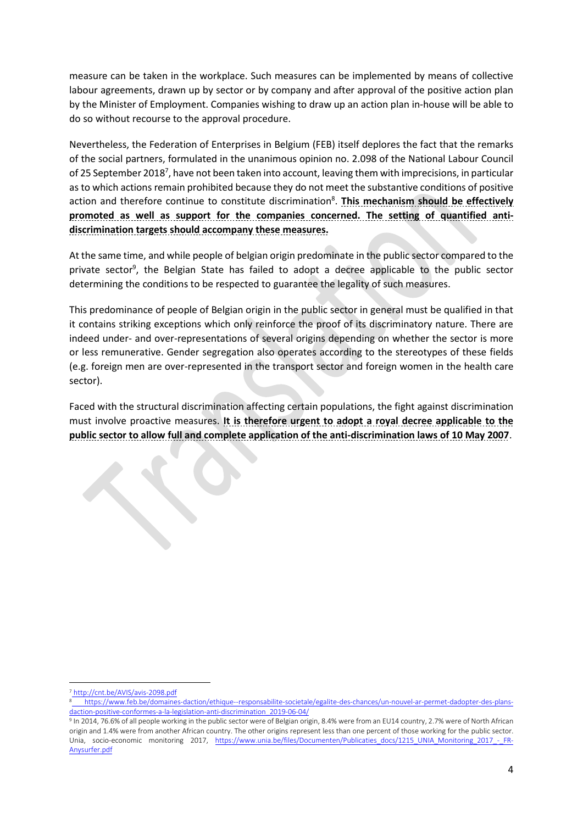measure can be taken in the workplace. Such measures can be implemented by means of collective labour agreements, drawn up by sector or by company and after approval of the positive action plan by the Minister of Employment. Companies wishing to draw up an action plan in-house will be able to do so without recourse to the approval procedure.

Nevertheless, the Federation of Enterprises in Belgium (FEB) itself deplores the fact that the remarks of the social partners, formulated in the unanimous opinion no. 2.098 of the National Labour Council of 25 September 2018<sup>7</sup>, have not been taken into account, leaving them with imprecisions, in particular as to which actions remain prohibited because they do not meet the substantive conditions of positive action and therefore continue to constitute discrimination<sup>8</sup>. This mechanism should be effectively **promoted as well as support for the companies concerned. The setting of quantified antidiscrimination targets should accompany these measures.**

At the same time, and while people of belgian origin predominate in the public sector compared to the private sector<sup>9</sup>, the Belgian State has failed to adopt a decree applicable to the public sector determining the conditions to be respected to guarantee the legality of such measures.

This predominance of people of Belgian origin in the public sector in general must be qualified in that it contains striking exceptions which only reinforce the proof of its discriminatory nature. There are indeed under- and over-representations of several origins depending on whether the sector is more or less remunerative. Gender segregation also operates according to the stereotypes of these fields (e.g. foreign men are over-represented in the transport sector and foreign women in the health care sector).

Faced with the structural discrimination affecting certain populations, the fight against discrimination must involve proactive measures. **It is therefore urgent to adopt a royal decree applicable to the public sector to allow full and complete application of the anti-discrimination laws of 10 May 2007**.

 $\overline{a}$ <sup>7</sup> <http://cnt.be/AVIS/avis-2098.pdf>

<sup>8</sup> [https://www.feb.be/domaines-daction/ethique--responsabilite-societale/egalite-des-chances/un-nouvel-ar-permet-dadopter-des-plans](https://www.feb.be/domaines-daction/ethique--responsabilite-societale/egalite-des-chances/un-nouvel-ar-permet-dadopter-des-plans-daction-positive-conformes-a-la-legislation-anti-discrimination_2019-06-04/)[daction-positive-conformes-a-la-legislation-anti-discrimination\\_2019-06-04/](https://www.feb.be/domaines-daction/ethique--responsabilite-societale/egalite-des-chances/un-nouvel-ar-permet-dadopter-des-plans-daction-positive-conformes-a-la-legislation-anti-discrimination_2019-06-04/)

 $^9$  In 2014, 76.6% of all people working in the public sector were of Belgian origin, 8.4% were from an EU14 country, 2.7% were of North African origin and 1.4% were from another African country. The other origins represent less than one percent of those working for the public sector. Unia, socio-economic monitoring 2017, [https://www.unia.be/files/Documenten/Publicaties\\_docs/1215\\_UNIA\\_Monitoring\\_2017\\_-\\_FR-](https://www.unia.be/files/Documenten/Publicaties_docs/1215_UNIA_Monitoring_2017_-_FR-Anysurfer.pdf)[Anysurfer.pdf](https://www.unia.be/files/Documenten/Publicaties_docs/1215_UNIA_Monitoring_2017_-_FR-Anysurfer.pdf)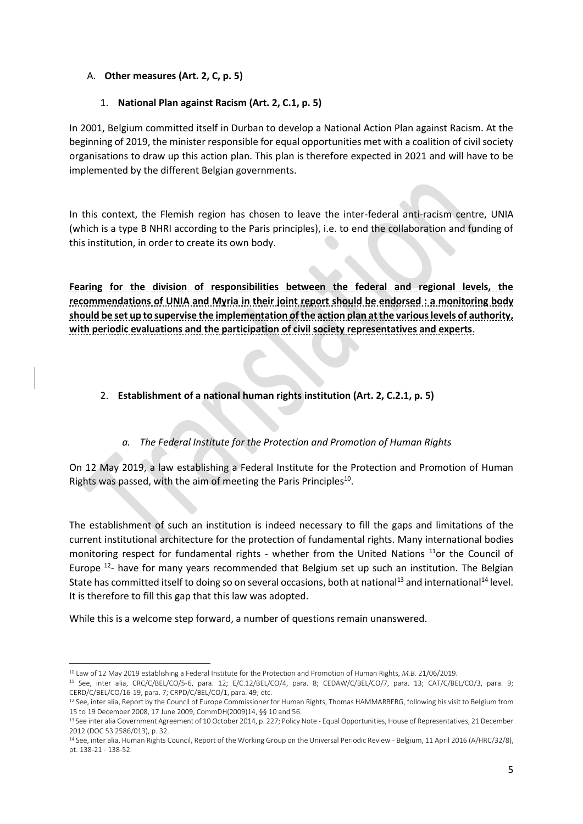## A. **Other measures (Art. 2, C, p. 5)**

### 1. **National Plan against Racism (Art. 2, C.1, p. 5)**

In 2001, Belgium committed itself in Durban to develop a National Action Plan against Racism. At the beginning of 2019, the minister responsible for equal opportunities met with a coalition of civil society organisations to draw up this action plan. This plan is therefore expected in 2021 and will have to be implemented by the different Belgian governments.

In this context, the Flemish region has chosen to leave the inter-federal anti-racism centre, UNIA (which is a type B NHRI according to the Paris principles), i.e. to end the collaboration and funding of this institution, in order to create its own body.

**Fearing for the division of responsibilities between the federal and regional levels, the recommendations of UNIA and Myria in their joint report should be endorsed : a monitoring body should be set up to supervise the implementation of the action plan at the various levels of authority, with periodic evaluations and the participation of civil society representatives and experts**.

# 2. **Establishment of a national human rights institution (Art. 2, C.2.1, p. 5)**

# *a. The Federal Institute for the Protection and Promotion of Human Rights*

On 12 May 2019, a law establishing a Federal Institute for the Protection and Promotion of Human Rights was passed, with the aim of meeting the Paris Principles<sup>10</sup>.

The establishment of such an institution is indeed necessary to fill the gaps and limitations of the current institutional architecture for the protection of fundamental rights. Many international bodies monitoring respect for fundamental rights - whether from the United Nations<sup>11</sup>or the Council of Europe <sup>12</sup>- have for many years recommended that Belgium set up such an institution. The Belgian State has committed itself to doing so on several occasions, both at national<sup>13</sup> and international<sup>14</sup> level. It is therefore to fill this gap that this law was adopted.

While this is a welcome step forward, a number of questions remain unanswered.

<sup>1</sup> <sup>10</sup> Law of 12 May 2019 establishing a Federal Institute for the Protection and Promotion of Human Rights, *M.B.* 21/06/2019.

<sup>11</sup> See, inter alia, CRC/C/BEL/CO/5-6, para. 12; E/C.12/BEL/CO/4, para. 8; CEDAW/C/BEL/CO/7, para. 13; CAT/C/BEL/CO/3, para. 9; CERD/C/BEL/CO/16-19, para. 7; CRPD/C/BEL/CO/1, para. 49; etc.

<sup>&</sup>lt;sup>12</sup> See, inter alia, Report by the Council of Europe Commissioner for Human Rights, Thomas HAMMARBERG, following his visit to Belgium from 15 to 19 December 2008, 17 June 2009, CommDH(2009)14, §§ 10 and 56.

<sup>&</sup>lt;sup>13</sup> See inter alia Government Agreement of 10 October 2014, p. 227; Policy Note - Equal Opportunities, House of Representatives, 21 December 2012 (DOC 53 2586/013), p. 32.

<sup>&</sup>lt;sup>14</sup> See, inter alia, Human Rights Council, Report of the Working Group on the Universal Periodic Review - Belgium, 11 April 2016 (A/HRC/32/8), pt. 138-21 - 138-52.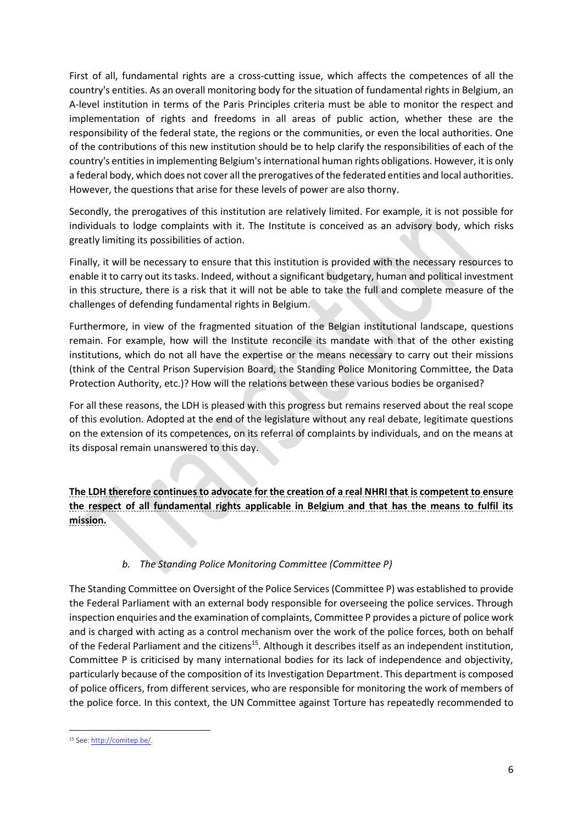First of all, fundamental rights are a cross-cutting issue, which affects the competences of all the country's entities. As an overall monitoring body for the situation of fundamental rights in Belgium, an A-level institution in terms of the Paris Principles criteria must be able to monitor the respect and implementation of rights and freedoms in all areas of public action, whether these are the responsibility of the federal state, the regions or the communities, or even the local authorities. One of the contributions of this new institution should be to help clarify the responsibilities of each of the country's entities in implementing Belgium's international human rights obligations. However, it is only a federal body, which does not cover all the prerogatives of the federated entities and local authorities. However, the questions that arise for these levels of power are also thorny.

Secondly, the prerogatives of this institution are relatively limited. For example, it is not possible for individuals to lodge complaints with it. The Institute is conceived as an advisory body, which risks greatly limiting its possibilities of action.

Finally, it will be necessary to ensure that this institution is provided with the necessary resources to enable it to carry out its tasks. Indeed, without a significant budgetary, human and political investment in this structure, there is a risk that it will not be able to take the full and complete measure of the challenges of defending fundamental rights in Belgium.

Furthermore, in view of the fragmented situation of the Belgian institutional landscape, questions remain. For example, how will the Institute reconcile its mandate with that of the other existing institutions, which do not all have the expertise or the means necessary to carry out their missions (think of the Central Prison Supervision Board, the Standing Police Monitoring Committee, the Data Protection Authority, etc.)? How will the relations between these various bodies be organised?

For all these reasons, the LDH is pleased with this progress but remains reserved about the real scope of this evolution. Adopted at the end of the legislature without any real debate, legitimate questions on the extension of its competences, on its referral of complaints by individuals, and on the means at its disposal remain unanswered to this day.

**The LDH therefore continues to advocate for the creation of a real NHRI that is competent to ensure the respect of all fundamental rights applicable in Belgium and that has the means to fulfil its mission.**

# *b. The Standing Police Monitoring Committee (Committee P)*

The Standing Committee on Oversight of the Police Services (Committee P) was established to provide the Federal Parliament with an external body responsible for overseeing the police services. Through inspection enquiries and the examination of complaints, Committee P provides a picture of police work and is charged with acting as a control mechanism over the work of the police forces, both on behalf of the Federal Parliament and the citizens<sup>15</sup>. Although it describes itself as an independent institution, Committee P is criticised by many international bodies for its lack of independence and objectivity, particularly because of the composition of its Investigation Department. This department is composed of police officers, from different services, who are responsible for monitoring the work of members of the police force. In this context, the UN Committee against Torture has repeatedly recommended to

<sup>15</sup> See[: http://comitep.be/.](http://comitep.be/)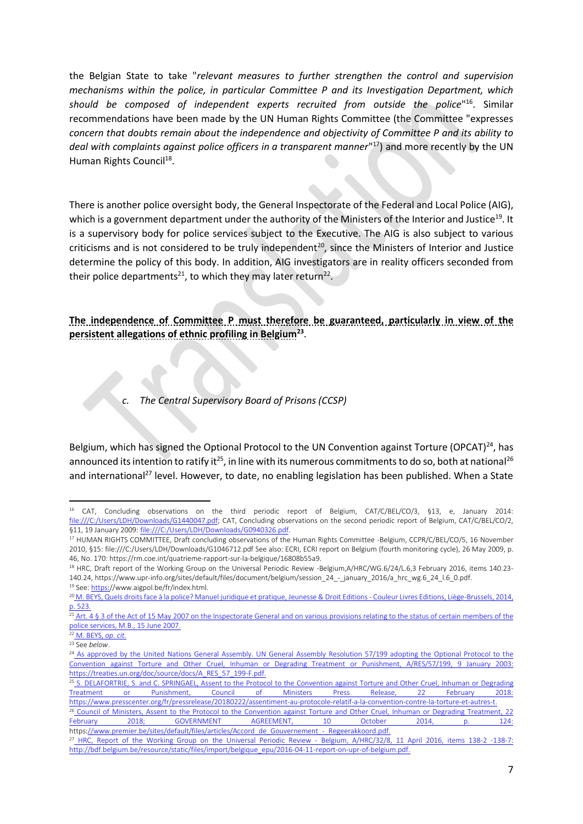the Belgian State to take "*relevant measures to further strengthen the control and supervision mechanisms within the police, in particular Committee P and its Investigation Department, which should be composed of independent experts recruited from outside the police*" <sup>16</sup>. Similar recommendations have been made by the UN Human Rights Committee (the Committee "expresses *concern that doubts remain about the independence and objectivity of Committee P and its ability to deal with complaints against police officers in a transparent manner*" <sup>17</sup>) and more recently by the UN Human Rights Council<sup>18</sup>.

There is another police oversight body, the General Inspectorate of the Federal and Local Police (AIG), which is a government department under the authority of the Ministers of the Interior and Justice<sup>19</sup>. It is a supervisory body for police services subject to the Executive. The AIG is also subject to various criticisms and is not considered to be truly independent<sup>20</sup>, since the Ministers of Interior and Justice determine the policy of this body. In addition, AIG investigators are in reality officers seconded from their police departments<sup>21</sup>, to which they may later return<sup>22</sup>.

**The independence of Committee P must therefore be guaranteed, particularly in view of the persistent allegations of ethnic profiling in Belgium<sup>23</sup>** .

#### *c. The Central Supervisory Board of Prisons (CCSP)*

Belgium, which has signed the Optional Protocol to the UN Convention against Torture (OPCAT)<sup>24</sup>, has announced its intention to ratify it<sup>25</sup>, in line with its numerous commitments to do so, both at national<sup>26</sup> and international<sup>27</sup> level. However, to date, no enabling legislation has been published. When a State

 $\overline{a}$ 

<sup>16</sup> CAT, Concluding observations on the third periodic report of Belgium, CAT/C/BEL/CO/3, §13, e, January 2014: [file:///C:/Users/LDH/Downloads/G1440047.pdf;](file:///C:/Users/LDH/Downloads/G1440047.pdf) CAT, Concluding observations on the second periodic report of Belgium, CAT/C/BEL/CO/2, §11, 19 January 2009[: file:///C:/Users/LDH/Downloads/G0940326.pdf.](file:///C:/Users/LDH/Downloads/G0940326.pdf) 

<sup>17</sup> HUMAN RIGHTS COMMITTEE, Draft concluding observations of the Human Rights Committee -Belgium, CCPR/C/BEL/CO/5, 16 November 2010, §15: file:///C:/Users/LDH/Downloads/G1046712.pdf See also: ECRI, ECRI report on Belgium (fourth monitoring cycle), 26 May 2009, p. 46, No. 170: https://rm.coe.int/quatrieme-rapport-sur-la-belgique/16808b55a9.

<sup>18</sup> HRC, Draft report of the Working Group on the Universal Periodic Review -Belgium,A/HRC/WG.6/24/L.6,3 February 2016, items 140.23- 140.24, https://www.upr-info.org/sites/default/files/document/belgium/session\_24\_-\_january\_2016/a\_hrc\_wg.6\_24\_l.6\_0.pdf. <sup>19</sup> See[: https:/](https://www.aigpol.be/fr/index.html)/www.aigpol.be/fr/index.html.

<sup>20</sup> M. BEYS, Quels droits face à la police? Manuel juridique et pratique, Jeunesse & Droit Editions - Couleur Livres Editions, Liège-Brussels, 2014, p. 523.

 $\frac{21}{21}$  Art. 4 § 3 of the Act of 15 May 2007 on the Inspectorate General and on various provisions relating to the status of certain members of the police services, M.B., 15 June 2007.

<sup>22</sup> M. BEYS, *op. cit.*

<sup>23</sup> See *below*.

<sup>&</sup>lt;sup>24</sup> As approved by the United Nations General Assembly. UN General Assembly Resolution 57/199 adopting the Optional Protocol to the Convention against Torture and Other Cruel, Inhuman or Degrading Treatment or Punishment, A/RES/57/199, 9 January 2003: https://treaties.un.org/doc/source/docs/A\_RES\_57\_199-F.pdf.

<sup>&</sup>lt;sup>25</sup> S. DELAFORTRIE, S. and C. SPRINGAEL, Assent to the Protocol to the Convention against Torture and Other Cruel, Inhuman or Degrading Treatment or Punishment, Council of Ministers Press Release, 22 February 2018: https://www.presscenter.org/fr/pressrelease/20180222/assentiment-au-protocole-relatif-a-la-convention-contre-la-torture-et-autres-t.

<sup>&</sup>lt;sup>26</sup> Council of Ministers, Assent to the Protocol to the Convention against Torture and Other Cruel, Inhuman or Degrading Treatment, 22 February 2018; GOVERNMENT AGREEMENT, 10 October 2014, p. 124: https://www.premier.be/sites/default/files/articles/Accord\_de\_Gouvernement\_-\_Regeerakkoord.pdf.

<sup>&</sup>lt;sup>27</sup> HRC, Report of the Working Group on the Universal Periodic Review - Belgium, A/HRC/32/8, 11 April 2016, items 138-2 -138-7: http://bdf.belgium.be/resource/static/files/import/belgique\_epu/2016-04-11-report-on-upr-of-belgium.pdf.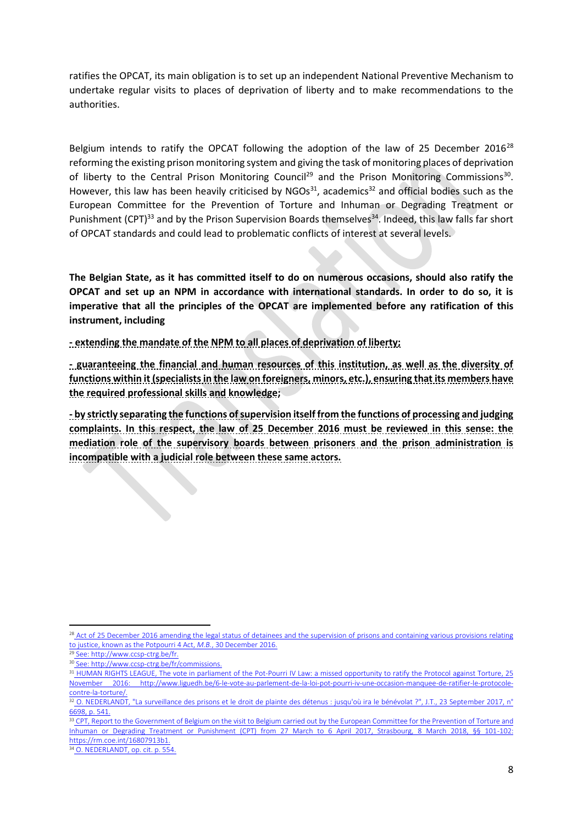ratifies the OPCAT, its main obligation is to set up an independent National Preventive Mechanism to undertake regular visits to places of deprivation of liberty and to make recommendations to the authorities.

Belgium intends to ratify the OPCAT following the adoption of the law of 25 December 2016<sup>28</sup> reforming the existing prison monitoring system and giving the task of monitoring places of deprivation of liberty to the Central Prison Monitoring Council<sup>29</sup> and the Prison Monitoring Commissions<sup>30</sup>. However, this law has been heavily criticised by  $NGOs<sup>31</sup>$ , academics<sup>32</sup> and official bodies such as the European Committee for the Prevention of Torture and Inhuman or Degrading Treatment or Punishment (CPT)<sup>33</sup> and by the Prison Supervision Boards themselves<sup>34</sup>. Indeed, this law falls far short of OPCAT standards and could lead to problematic conflicts of interest at several levels.

**The Belgian State, as it has committed itself to do on numerous occasions, should also ratify the OPCAT and set up an NPM in accordance with international standards. In order to do so, it is imperative that all the principles of the OPCAT are implemented before any ratification of this instrument, including**

**- extending the mandate of the NPM to all places of deprivation of liberty;**

**- guaranteeing the financial and human resources of this institution, as well as the diversity of functions within it (specialists in the law on foreigners, minors, etc.), ensuring that its members have the required professional skills and knowledge;**

**- by strictly separating the functions of supervision itself from the functions of processing and judging complaints. In this respect, the law of 25 December 2016 must be reviewed in this sense: the mediation role of the supervisory boards between prisoners and the prison administration is incompatible with a judicial role between these same actors.**

<sup>&</sup>lt;sup>28</sup> Act of 25 December 2016 amending the legal status of detainees and the supervision of prisons and containing various provisions relating to justice, known as the Potpourri 4 Act, *M.B.*, 30 December 2016.

See: http://www.ccsp-ctrg.be/fr.

<sup>30</sup> See: http://www.ccsp-ctrg.be/fr/commissions.

<sup>&</sup>lt;sup>31</sup> HUMAN RIGHTS LEAGUE, The vote in parliament of the Pot-Pourri IV Law: a missed opportunity to ratify the Protocol against Torture, 25 November 2016: http://www.liguedh.be/6-le-vote-au-parlement-de-la-loi-pot-pourri-iv-une-occasion-manquee-de-ratifier-le-protocolecontre-la-torture/.

<sup>&</sup>lt;sup>32</sup> O. NEDERLANDT, "La surveillance des prisons et le droit de plainte des détenus : jusqu'où ira le bénévolat ?", J.T., 23 September 2017, n° 6698, p. 541.

<sup>33</sup> CPT, Report to the Government of Belgium on the visit to Belgium carried out by the European Committee for the Prevention of Torture and Inhuman or Degrading Treatment or Punishment (CPT) from 27 March to 6 April 2017, Strasbourg, 8 March 2018, §§ 101-102: https://rm.coe.int/16807913b1.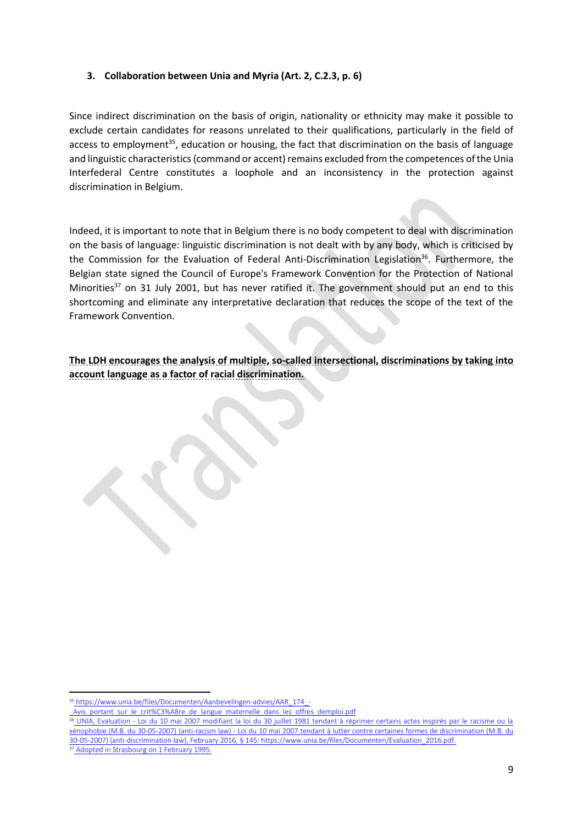#### **3. Collaboration between Unia and Myria (Art. 2, C.2.3, p. 6)**

Since indirect discrimination on the basis of origin, nationality or ethnicity may make it possible to exclude certain candidates for reasons unrelated to their qualifications, particularly in the field of access to employment<sup>35</sup>, education or housing, the fact that discrimination on the basis of language and linguistic characteristics (command or accent) remains excluded from the competences of the Unia Interfederal Centre constitutes a loophole and an inconsistency in the protection against discrimination in Belgium.

Indeed, it is important to note that in Belgium there is no body competent to deal with discrimination on the basis of language: linguistic discrimination is not dealt with by any body, which is criticised by the Commission for the Evaluation of Federal Anti-Discrimination Legislation<sup>36</sup>. Furthermore, the Belgian state signed the Council of Europe's Framework Convention for the Protection of National Minorities<sup>37</sup> on 31 July 2001, but has never ratified it. The government should put an end to this shortcoming and eliminate any interpretative declaration that reduces the scope of the text of the Framework Convention.

**The LDH encourages the analysis of multiple, so-called intersectional, discriminations by taking into account language as a factor of racial discrimination.**

1

<sup>35</sup> https://www.unia.be/files/Documenten/Aanbevelingen-advies/AAR\_174

Avis\_portant\_sur\_le\_crit%C3%A8re\_de\_langue\_maternelle\_dans\_les\_offres\_demploi.pdf

<sup>36</sup> UNIA, Evaluation - Loi du 10 mai 2007 modifiant la loi du 30 juillet 1981 tendant à réprimer certains actes inspirés par le racisme ou la xénophobie (M.B. du 30-05-2007) (anti-racism law) - Loi du 10 mai 2007 tendant à lutter contre certaines formes de discrimination (M.B. du 30-05-2007) (anti-discrimination law), February 2016, § 145: https://www.unia.be/files/Documenten/Evaluation\_2016.pdf. <sup>37</sup> Adopted in Strasbourg on 1 February 1995.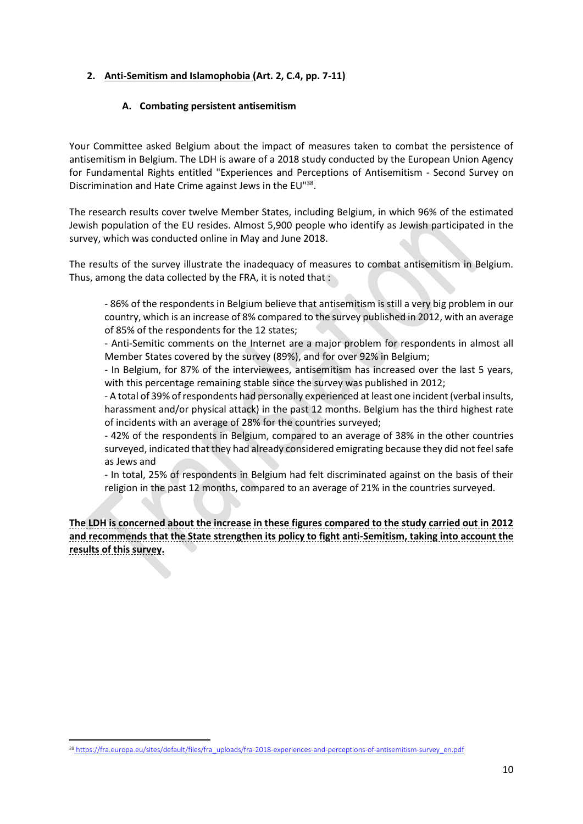## **2. Anti-Semitism and Islamophobia (Art. 2, C.4, pp. 7-11)**

#### **A. Combating persistent antisemitism**

Your Committee asked Belgium about the impact of measures taken to combat the persistence of antisemitism in Belgium. The LDH is aware of a 2018 study conducted by the European Union Agency for Fundamental Rights entitled "Experiences and Perceptions of Antisemitism - Second Survey on Discrimination and Hate Crime against Jews in the EU"<sup>38</sup>.

The research results cover twelve Member States, including Belgium, in which 96% of the estimated Jewish population of the EU resides. Almost 5,900 people who identify as Jewish participated in the survey, which was conducted online in May and June 2018.

The results of the survey illustrate the inadequacy of measures to combat antisemitism in Belgium. Thus, among the data collected by the FRA, it is noted that :

- 86% of the respondents in Belgium believe that antisemitism is still a very big problem in our country, which is an increase of 8% compared to the survey published in 2012, with an average of 85% of the respondents for the 12 states;

- Anti-Semitic comments on the Internet are a major problem for respondents in almost all Member States covered by the survey (89%), and for over 92% in Belgium;

- In Belgium, for 87% of the interviewees, antisemitism has increased over the last 5 years, with this percentage remaining stable since the survey was published in 2012;

- A total of 39% of respondents had personally experienced at least one incident (verbal insults, harassment and/or physical attack) in the past 12 months. Belgium has the third highest rate of incidents with an average of 28% for the countries surveyed;

- 42% of the respondents in Belgium, compared to an average of 38% in the other countries surveyed, indicated that they had already considered emigrating because they did not feel safe as Jews and

- In total, 25% of respondents in Belgium had felt discriminated against on the basis of their religion in the past 12 months, compared to an average of 21% in the countries surveyed.

**The LDH is concerned about the increase in these figures compared to the study carried out in 2012 and recommends that the State strengthen its policy to fight anti-Semitism, taking into account the results of this survey.** 

**<sup>.</sup>** 38 [https://fra.europa.eu/sites/default/files/fra\\_uploads/fra-2018-experiences-and-perceptions-of-antisemitism-survey\\_en.pdf](https://fra.europa.eu/sites/default/files/fra_uploads/fra-2018-experiences-and-perceptions-of-antisemitism-survey_en.pdf)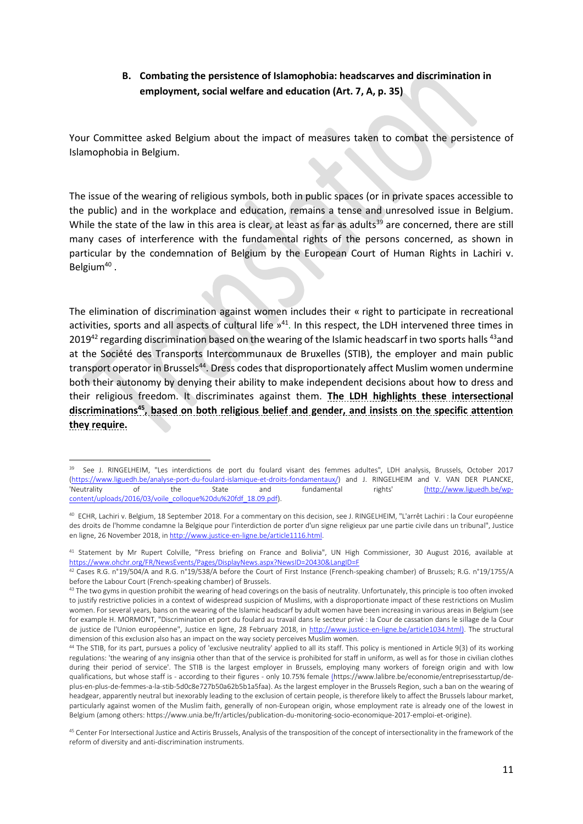## **B. Combating the persistence of Islamophobia: headscarves and discrimination in employment, social welfare and education (Art. 7, A, p. 35)**

Your Committee asked Belgium about the impact of measures taken to combat the persistence of Islamophobia in Belgium.

The issue of the wearing of religious symbols, both in public spaces (or in private spaces accessible to the public) and in the workplace and education, remains a tense and unresolved issue in Belgium. While the state of the law in this area is clear, at least as far as adults<sup>39</sup> are concerned, there are still many cases of interference with the fundamental rights of the persons concerned, as shown in particular by the condemnation of Belgium by the European Court of Human Rights in Lachiri v. Belgium<sup>40</sup>.

The elimination of discrimination against women includes their « right to participate in recreational activities, sports and all aspects of cultural life  $v^{41}$ . In this respect, the LDH intervened three times in 2019<sup>42</sup> regarding discrimination based on the wearing of the Islamic headscarf in two sports halls <sup>43</sup>and at the Société des Transports Intercommunaux de Bruxelles (STIB), the employer and main public transport operator in Brussels<sup>44</sup>. Dress codes that disproportionately affect Muslim women undermine both their autonomy by denying their ability to make independent decisions about how to dress and their religious freedom. It discriminates against them. **The LDH highlights these intersectional discriminations<sup>45</sup>, based on both religious belief and gender, and insists on the specific attention they require.**

**<sup>.</sup>** 39 See J. RINGELHEIM, "Les interdictions de port du foulard visant des femmes adultes", LDH analysis, Brussels, October 2017 [\(https://www.liguedh.be/analyse-port-du-foulard-islamique-et-droits-fondamentaux/\)](https://www.liguedh.be/analyse-port-du-foulard-islamique-et-droits-fondamentaux/) and J. RINGELHEIM and V. VAN DER PLANCKE, [\(http://www.liguedh.be/wp](http://www.liguedh.be/wp-content/uploads/2016/03/voile_colloque%20du%20fdf_18.09.pdf)[content/uploads/2016/03/voile\\_colloque%20du%20fdf\\_18.09.pdf\)](http://www.liguedh.be/wp-content/uploads/2016/03/voile_colloque%20du%20fdf_18.09.pdf).

<sup>40</sup> ECHR, Lachiri v. Belgium, 18 September 2018. For a commentary on this decision, see J. RINGELHEIM, "L'arrêt Lachiri : la Cour européenne des droits de l'homme condamne la Belgique pour l'interdiction de porter d'un signe religieux par une partie civile dans un tribunal", Justice en ligne, 26 November 2018, i[n http://www.justice-en-ligne.be/article1116.html.](http://www.justice-en-ligne.be/article1116.html)

<sup>41</sup> Statement by Mr Rupert Colville, "Press briefing on France and Bolivia", UN High Commissioner, 30 August 2016, available at [https://www.ohchr.org/FR/NewsEvents/Pages/DisplayNews.aspx?NewsID=20430&LangID=F](file://///EgnyteDrive/ldhcloud/Shared/Documents/J.%20Juridique/J.2.%20Droits%20humains/Droit%20européen%20-%20international/Rapports%20alternatifs/CERD/2021/%20https:/www.ohchr.org/FR/NewsEvents/Pages/DisplayNews.aspx)

<sup>42</sup> Cases R.G. n°19/504/A and R.G. n°19/538/A before the Court of First Instance (French-speaking chamber) of Brussels; R.G. n°19/1755/A before the Labour Court (French-speaking chamber) of Brussels.

<sup>&</sup>lt;sup>43</sup> The two gyms in question prohibit the wearing of head coverings on the basis of neutrality. Unfortunately, this principle is too often invoked to justify restrictive policies in a context of widespread suspicion of Muslims, with a disproportionate impact of these restrictions on Muslim women. For several years, bans on the wearing of the Islamic headscarf by adult women have been increasing in various areas in Belgium (see for example H. MORMONT, "Discrimination et port du foulard au travail dans le secteur privé : la Cour de cassation dans le sillage de la Cour de justice de l'Union européenne", Justice en ligne, 28 February 2018, in http://www.justice-en-ligne.be/article1034.html). The structural dimension of this exclusion also has an impact on the way society perceives Muslim women.

<sup>&</sup>lt;sup>44</sup> The STIB, for its part, pursues a policy of 'exclusive neutrality' applied to all its staff. This policy is mentioned in Article 9(3) of its working regulations: 'the wearing of any insignia other than that of the service is prohibited for staff in uniform, as well as for those in civilian clothes during their period of service'. The STIB is the largest employer in Brussels, employing many workers of foreign origin and with low qualifications, but whose staff is - according to their figures - only 10.75% femal[e \(h](https://www.lalibre.be/economie/entreprisesstartup/de-plus-en-plus-de-femmes-a-la-stib-5d0c8e727b50a62b5b1a5faa)ttps://www.lalibre.be/economie/entreprisesstartup/deplus-en-plus-de-femmes-a-la-stib-5d0c8e727b50a62b5b1a5faa). As the largest employer in the Brussels Region, such a ban on the wearing of headgear, apparently neutral but inexorably leading to the exclusion of certain people, is therefore likely to affect the Brussels labour market, particularly against women of the Muslim faith, generally of non-European origin, whose employment rate is already one of the lowest in Belgium (among others: https://www.unia.be/fr/articles/publication-du-monitoring-socio-economique-2017-emploi-et-origine).

<sup>45</sup> Center For Intersectional Justice and Actiris Brussels, Analysis of the transposition of the concept of intersectionality in the framework of the reform of diversity and anti-discrimination instruments.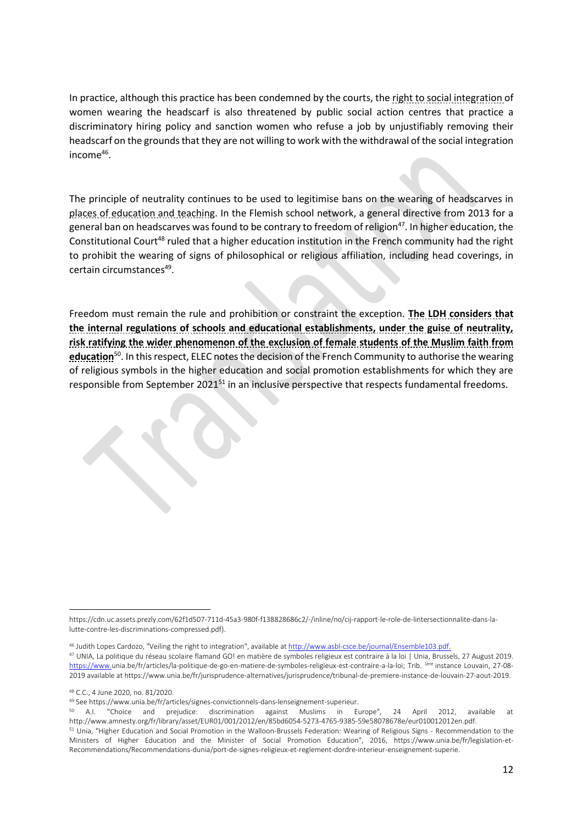In practice, although this practice has been condemned by the courts, the right to social integration of women wearing the headscarf is also threatened by public social action centres that practice a discriminatory hiring policy and sanction women who refuse a job by unjustifiably removing their headscarf on the grounds that they are not willing to work with the withdrawal of the social integration income<sup>46</sup>.

The principle of neutrality continues to be used to legitimise bans on the wearing of headscarves in places of education and teaching. In the Flemish school network, a general directive from 2013 for a general ban on headscarves was found to be contrary to freedom of religion<sup>47</sup>. In higher education, the Constitutional Court<sup>48</sup> ruled that a higher education institution in the French community had the right to prohibit the wearing of signs of philosophical or religious affiliation, including head coverings, in certain circumstances<sup>49</sup>.

Freedom must remain the rule and prohibition or constraint the exception. **The LDH considers that the internal regulations of schools and educational establishments, under the guise of neutrality, risk ratifying the wider phenomenon of the exclusion of female students of the Muslim faith from education**<sup>50</sup>. In this respect, ELEC notes the decision of the French Community to authorise the wearing of religious symbols in the higher education and social promotion establishments for which they are responsible from September 2021<sup>51</sup> in an inclusive perspective that respects fundamental freedoms.

<sup>48</sup> C.C., 4 June 2020, no. 81/2020.

<sup>1</sup> https://cdn.uc.assets.prezly.com/62f1d507-711d-45a3-980f-f138828686c2/-/inline/no/cij-rapport-le-role-de-lintersectionnalite-dans-lalutte-contre-les-discriminations-compressed.pdf).

<sup>46</sup> Judith Lopes Cardozo, "Veiling the right to integration", available at http://www.asbl-csce.be/journal/Ensemble103.pdf.

<sup>&</sup>lt;sup>47</sup> UNIA, La politique du réseau scolaire flamand GO! en matière de symboles religieux est contraire à la loi | Unia, Brussels, 27 August 2019. [https://www.u](https://www.unia.be/fr/articles/la-politique-de-go-en-matiere-de-symboles-religieux-est-contraire-a-la-loi)nia.be/fr/articles/la-politique-de-go-en-matiere-de-symboles-religieux-est-contraire-a-la-loi; Trib. <sup>1ère</sup> instance Louvain, 27-08-2019 available at https://www.unia.be/fr/jurisprudence-alternatives/jurisprudence/tribunal-de-premiere-instance-de-louvain-27-aout-2019.

<sup>49</sup> See https://www.unia.be/fr/articles/signes-convictionnels-dans-lenseignement-superieur.

<sup>50</sup> A.I. "Choice and prejudice: discrimination against Muslims in Europe", 24 April 2012, available at http://www.amnesty.org/fr/library/asset/EUR01/001/2012/en/85bd6054-5273-4765-9385-59e58078678e/eur010012012en.pdf.

<sup>&</sup>lt;sup>51</sup> Unia, "Higher Education and Social Promotion in the Walloon-Brussels Federation: Wearing of Religious Signs - Recommendation to the Ministers of Higher Education and the Minister of Social Promotion Education", 2016, https://www.unia.be/fr/legislation-et-Recommendations/Recommendations-dunia/port-de-signes-religieux-et-reglement-dordre-interieur-enseignement-superie.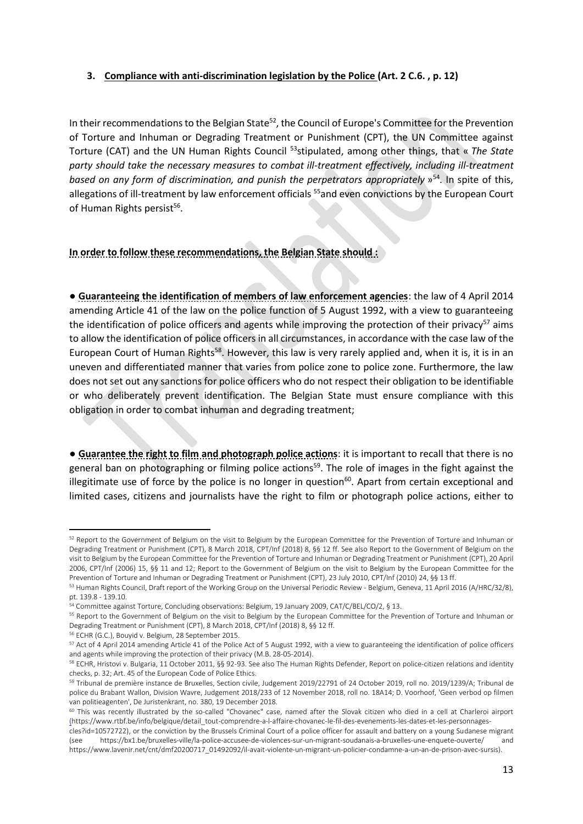### **3. Compliance with anti-discrimination legislation by the Police (Art. 2 C.6. , p. 12)**

In their recommendations to the Belgian State<sup>52</sup>, the Council of Europe's Committee for the Prevention of Torture and Inhuman or Degrading Treatment or Punishment (CPT), the UN Committee against Torture (CAT) and the UN Human Rights Council <sup>53</sup>stipulated, among other things, that « *The State party should take the necessary measures to combat ill-treatment effectively, including ill-treatment*  based on any form of discrimination, and punish the perpetrators appropriately  $v^{54}$ . In spite of this, allegations of ill-treatment by law enforcement officials <sup>55</sup> and even convictions by the European Court of Human Rights persist<sup>56</sup>.

**In order to follow these recommendations, the Belgian State should :**

● **Guaranteeing the identification of members of law enforcement agencies**: the law of 4 April 2014 amending Article 41 of the law on the police function of 5 August 1992, with a view to guaranteeing the identification of police officers and agents while improving the protection of their privacy<sup>57</sup> aims to allow the identification of police officers in all circumstances, in accordance with the case law of the European Court of Human Rights<sup>58</sup>. However, this law is very rarely applied and, when it is, it is in an uneven and differentiated manner that varies from police zone to police zone. Furthermore, the law does not set out any sanctions for police officers who do not respect their obligation to be identifiable or who deliberately prevent identification. The Belgian State must ensure compliance with this obligation in order to combat inhuman and degrading treatment;

● **Guarantee the right to film and photograph police actions**: it is important to recall that there is no general ban on photographing or filming police actions<sup>59</sup>. The role of images in the fight against the illegitimate use of force by the police is no longer in question $60$ . Apart from certain exceptional and limited cases, citizens and journalists have the right to film or photograph police actions, either to

<sup>52</sup> Report to the Government of Belgium on the visit to Belgium by the European Committee for the Prevention of Torture and Inhuman or Degrading Treatment or Punishment (CPT), 8 March 2018, CPT/Inf (2018) 8, §§ 12 ff. See also Report to the Government of Belgium on the visit to Belgium by the European Committee for the Prevention of Torture and Inhuman or Degrading Treatment or Punishment (CPT), 20 April 2006, CPT/Inf (2006) 15, §§ 11 and 12; Report to the Government of Belgium on the visit to Belgium by the European Committee for the Prevention of Torture and Inhuman or Degrading Treatment or Punishment (CPT), 23 July 2010, CPT/Inf (2010) 24, §§ 13 ff.

<sup>53</sup> Human Rights Council, Draft report of the Working Group on the Universal Periodic Review - Belgium, Geneva, 11 April 2016 (A/HRC/32/8), pt. 139.8 - 139.10.

<sup>54</sup> Committee against Torture, Concluding observations: Belgium, 19 January 2009, CAT/C/BEL/CO/2, § 13.

<sup>&</sup>lt;sup>55</sup> Report to the Government of Belgium on the visit to Belgium by the European Committee for the Prevention of Torture and Inhuman or Degrading Treatment or Punishment (CPT), 8 March 2018, CPT/Inf (2018) 8, §§ 12 ff.

<sup>56</sup> ECHR (G.C.), Bouyid v. Belgium, 28 September 2015.

<sup>&</sup>lt;sup>57</sup> Act of 4 April 2014 amending Article 41 of the Police Act of 5 August 1992, with a view to guaranteeing the identification of police officers and agents while improving the protection of their privacy (M.B. 28-05-2014).

<sup>58</sup> ECHR, Hristovi v. Bulgaria, 11 October 2011, §§ 92-93. See also The Human Rights Defender, Report on police-citizen relations and identity checks, p. 32; Art. 45 of the European Code of Police Ethics.

<sup>59</sup> Tribunal de première instance de Bruxelles, Section civile, Judgement 2019/22791 of 24 October 2019, roll no. 2019/1239/A; Tribunal de police du Brabant Wallon, Division Wavre, Judgement 2018/233 of 12 November 2018, roll no. 18A14; D. Voorhoof, 'Geen verbod op filmen van politieagenten', De Juristenkrant, no. 380, 19 December 2018.

<sup>60</sup> This was recently illustrated by the so-called "Chovanec" case, named after the Slovak citizen who died in a cell at Charleroi airport [\(h](https://www.rtbf.be/info/belgique/detail_tout-comprendre-a-l-affaire-chovanec-le-fil-des-evenements-les-dates-et-les-personnages-cles?id=10572722)ttps://www.rtbf.be/info/belgique/detail\_tout-comprendre-a-l-affaire-chovanec-le-fil-des-evenements-les-dates-et-les-personnages-

cles?id=10572722), or the conviction by the Brussels Criminal Court of a police officer for assault and battery on a young Sudanese migrant https://bx1.be/bruxelles-ville/la-police-accusee-de-violences-sur-un-migrant-soudanais-a-bruxelles-une-enquete-ouverte/ and https://www.lavenir.net/cnt/dmf20200717\_01492092/il-avait-violente-un-migrant-un-policier-condamne-a-un-an-de-prison-avec-sursis).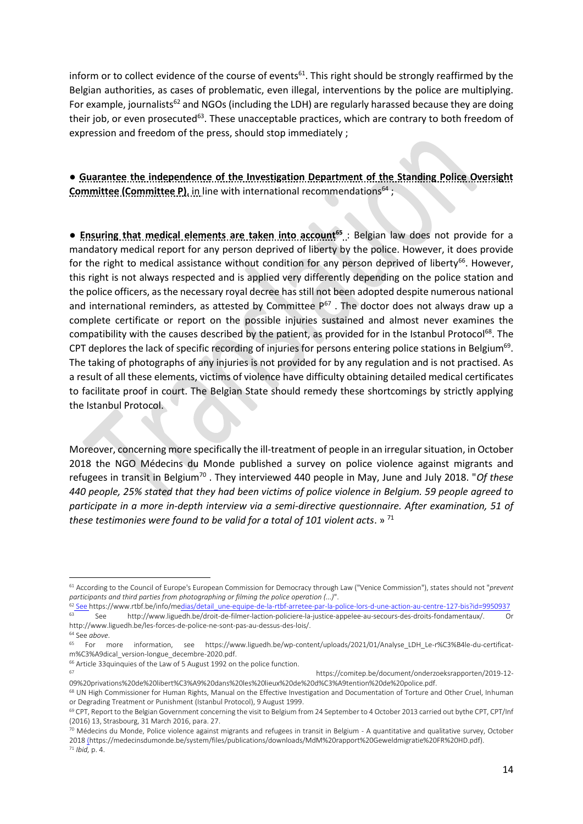inform or to collect evidence of the course of events<sup>61</sup>. This right should be strongly reaffirmed by the Belgian authorities, as cases of problematic, even illegal, interventions by the police are multiplying. For example, journalists<sup>62</sup> and NGOs (including the LDH) are regularly harassed because they are doing their job, or even prosecuted<sup>63</sup>. These unacceptable practices, which are contrary to both freedom of expression and freedom of the press, should stop immediately ;

● **Guarantee the independence of the Investigation Department of the Standing Police Oversight Committee (Committee P)**, in line with international recommendations<sup>64</sup>;

● **Ensuring that medical elements are taken into account<sup>65</sup>** : Belgian law does not provide for a mandatory medical report for any person deprived of liberty by the police. However, it does provide for the right to medical assistance without condition for any person deprived of liberty<sup>66</sup>. However, this right is not always respected and is applied very differently depending on the police station and the police officers, as the necessary royal decree has still not been adopted despite numerous national and international reminders, as attested by Committee  $P^{67}$ . The doctor does not always draw up a complete certificate or report on the possible injuries sustained and almost never examines the compatibility with the causes described by the patient, as provided for in the Istanbul Protocol<sup>68</sup>. The CPT deplores the lack of specific recording of injuries for persons entering police stations in Belgium<sup>69</sup>. The taking of photographs of any injuries is not provided for by any regulation and is not practised. As a result of all these elements, victims of violence have difficulty obtaining detailed medical certificates to facilitate proof in court. The Belgian State should remedy these shortcomings by strictly applying the Istanbul Protocol.

Moreover, concerning more specifically the ill-treatment of people in an irregular situation, in October 2018 the NGO Médecins du Monde published a survey on police violence against migrants and refugees in transit in Belgium<sup>70</sup> . They interviewed 440 people in May, June and July 2018. "*Of these 440 people, 25% stated that they had been victims of police violence in Belgium. 59 people agreed to participate in a more in-depth interview via a semi-directive questionnaire. After examination, 51 of these testimonies were found to be valid for a total of 101 violent acts*. » <sup>71</sup>

<sup>67</sup> https://comitep.be/document/onderzoeksrapporten/2019-12- 09%20privations%20de%20libert%C3%A9%20dans%20les%20lieux%20de%20d%C3%A9tention%20de%20police.pdf.

**<sup>.</sup>** <sup>61</sup> According to the Council of Europe's European Commission for Democracy through Law ("Venice Commission"), states should not "*prevent participants and third parties from photographing or filming the police operation (...)*".

 $\frac{62 \text{ See } \text{https://www.rtbf.be/info/medias/detal: une-equipe-de-la-rthf-arrete-par-la-police-tors-d'une-action-au-centre-127-bis?id=9950937}}{63 \text{ See } \text{https://www.ttbn.ww. linauchb~holaric et al. filmor laction, policiera-ha iuctico-angoloc, au securs des dreite fondamentaux/$ <sup>63</sup> See http://www.liguedh.be/droit-de-filmer-laction-policiere-la-justice-appelee-au-secours-des-droits-fondamentaux/. Or http://www.liguedh.be/les-forces-de-police-ne-sont-pas-au-dessus-des-lois/. <sup>64</sup> See *above*.

<sup>65</sup> For more information, see https://www.liguedh.be/wp-content/uploads/2021/01/Analyse\_LDH\_Le-r%C3%B4le-du-certificatm%C3%A9dical\_version-longue\_decembre-2020.pdf.

 $^{66}$  Article 33quinquies of the Law of 5 August 1992 on the police function.

<sup>68</sup> UN High Commissioner for Human Rights, Manual on the Effective Investigation and Documentation of Torture and Other Cruel, Inhuman or Degrading Treatment or Punishment (Istanbul Protocol), 9 August 1999.

<sup>69</sup> CPT, Report to the Belgian Government concerning the visit to Belgium from 24 September to 4 October 2013 carried out bythe CPT, CPT/Inf (2016) 13, Strasbourg, 31 March 2016, para. 27.

 $70$  Médecins du Monde, Police violence against migrants and refugees in transit in Belgium - A quantitative and qualitative survey, October 201[8 \(h](https://medecinsdumonde.be/system/files/publications/downloads/MdM%20rapport%20Geweldmigratie%20FR%20HD.pdf)ttps://medecinsdumonde.be/system/files/publications/downloads/MdM%20rapport%20Geweldmigratie%20FR%20HD.pdf). <sup>71</sup> *Ibid,* p. 4.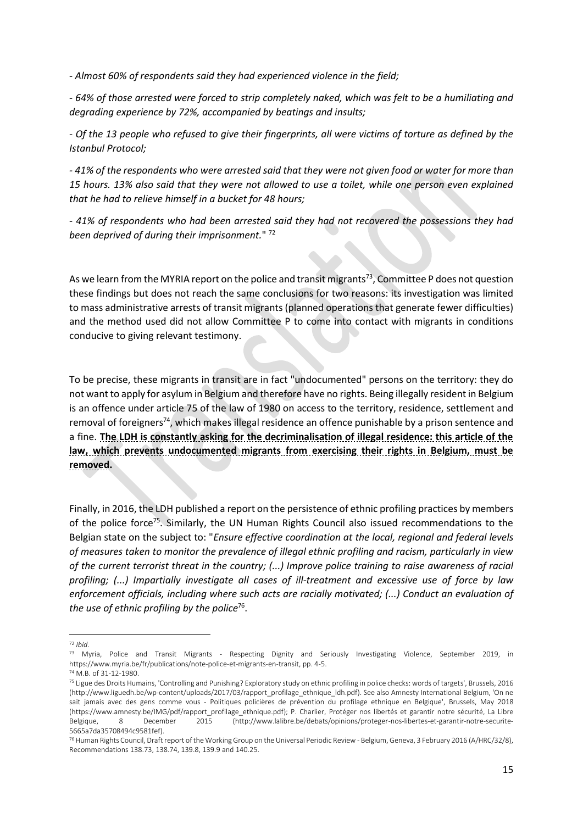*- Almost 60% of respondents said they had experienced violence in the field;*

*- 64% of those arrested were forced to strip completely naked, which was felt to be a humiliating and degrading experience by 72%, accompanied by beatings and insults;*

*- Of the 13 people who refused to give their fingerprints, all were victims of torture as defined by the Istanbul Protocol;*

*- 41% of the respondents who were arrested said that they were not given food or water for more than 15 hours. 13% also said that they were not allowed to use a toilet, while one person even explained that he had to relieve himself in a bucket for 48 hours;*

*- 41% of respondents who had been arrested said they had not recovered the possessions they had been deprived of during their imprisonment.*" <sup>72</sup>

As we learn from the MYRIA report on the police and transit migrants<sup>73</sup>, Committee P does not question these findings but does not reach the same conclusions for two reasons: its investigation was limited to mass administrative arrests of transit migrants (planned operations that generate fewer difficulties) and the method used did not allow Committee P to come into contact with migrants in conditions conducive to giving relevant testimony.

To be precise, these migrants in transit are in fact "undocumented" persons on the territory: they do not want to apply for asylum in Belgium and therefore have no rights. Being illegally resident in Belgium is an offence under article 75 of the law of 1980 on access to the territory, residence, settlement and removal of foreigners<sup>74</sup>, which makes illegal residence an offence punishable by a prison sentence and a fine. **The LDH is constantly asking for the decriminalisation of illegal residence: this article of the law, which prevents undocumented migrants from exercising their rights in Belgium, must be removed.**

Finally, in 2016, the LDH published a report on the persistence of ethnic profiling practices by members of the police force<sup>75</sup>. Similarly, the UN Human Rights Council also issued recommendations to the Belgian state on the subject to: "*Ensure effective coordination at the local, regional and federal levels of measures taken to monitor the prevalence of illegal ethnic profiling and racism, particularly in view of the current terrorist threat in the country; (...) Improve police training to raise awareness of racial profiling; (...) Impartially investigate all cases of ill-treatment and excessive use of force by law enforcement officials, including where such acts are racially motivated; (...) Conduct an evaluation of the use of ethnic profiling by the police*<sup>76</sup> .

<sup>1</sup> <sup>72</sup> *Ibid*.

<sup>73</sup> Myria, Police and Transit Migrants - Respecting Dignity and Seriously Investigating Violence, September 2019, in https://www.myria.be/fr/publications/note-police-et-migrants-en-transit, pp. 4-5.

<sup>74</sup> M.B. of 31-12-1980.

<sup>&</sup>lt;sup>75</sup> Ligue des Droits Humains, 'Controlling and Punishing? Exploratory study on ethnic profiling in police checks: words of targets', Brussels, 2016 (http://www.liguedh.be/wp-content/uploads/2017/03/rapport\_profilage\_ethnique\_ldh.pdf). See also Amnesty International Belgium, 'On ne sait jamais avec des gens comme vous - Politiques policières de prévention du profilage ethnique en Belgique', Brussels, May 2018 (https://www.amnesty.be/IMG/pdf/rapport\_profilage\_ethnique.pdf); P. Charlier, Protéger nos libertés et garantir notre sécurité, La Libre Belgique, 8 December 2015 (http://www.lalibre.be/debats/opinions/proteger-nos-libertes-et-garantir-notre-securite-5665a7da35708494c9581fef).

<sup>76</sup> Human Rights Council, Draft report of the Working Group on the Universal Periodic Review - Belgium, Geneva, 3 February 2016 (A/HRC/32/8), Recommendations 138.73, 138.74, 139.8, 139.9 and 140.25.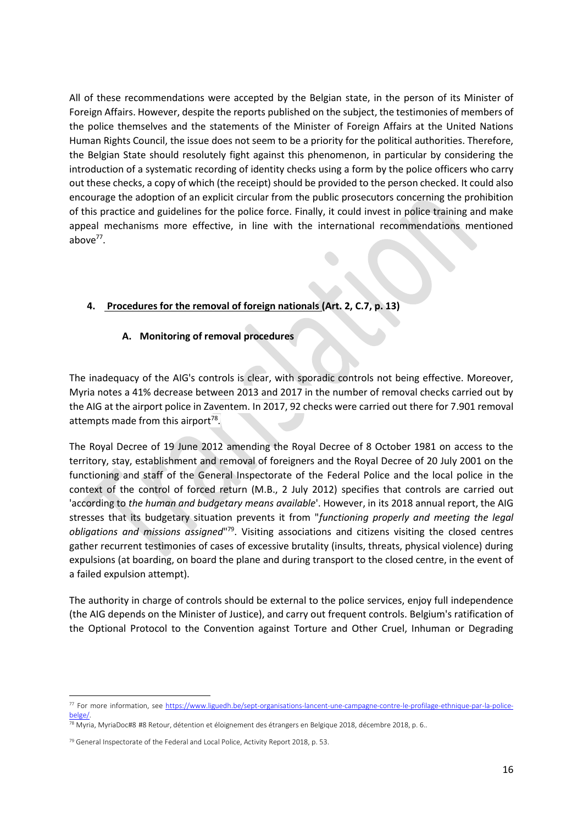All of these recommendations were accepted by the Belgian state, in the person of its Minister of Foreign Affairs. However, despite the reports published on the subject, the testimonies of members of the police themselves and the statements of the Minister of Foreign Affairs at the United Nations Human Rights Council, the issue does not seem to be a priority for the political authorities. Therefore, the Belgian State should resolutely fight against this phenomenon, in particular by considering the introduction of a systematic recording of identity checks using a form by the police officers who carry out these checks, a copy of which (the receipt) should be provided to the person checked. It could also encourage the adoption of an explicit circular from the public prosecutors concerning the prohibition of this practice and guidelines for the police force. Finally, it could invest in police training and make appeal mechanisms more effective, in line with the international recommendations mentioned above<sup>77</sup>.

## **4. Procedures for the removal of foreign nationals (Art. 2, C.7, p. 13)**

#### **A. Monitoring of removal procedures**

The inadequacy of the AIG's controls is clear, with sporadic controls not being effective. Moreover, Myria notes a 41% decrease between 2013 and 2017 in the number of removal checks carried out by the AIG at the airport police in Zaventem. In 2017, 92 checks were carried out there for 7.901 removal attempts made from this airport<sup>78</sup>.

The Royal Decree of 19 June 2012 amending the Royal Decree of 8 October 1981 on access to the territory, stay, establishment and removal of foreigners and the Royal Decree of 20 July 2001 on the functioning and staff of the General Inspectorate of the Federal Police and the local police in the context of the control of forced return (M.B., 2 July 2012) specifies that controls are carried out 'according to *the human and budgetary means available*'. However, in its 2018 annual report, the AIG stresses that its budgetary situation prevents it from "*functioning properly and meeting the legal*  obligations and missions assigned"<sup>79</sup>. Visiting associations and citizens visiting the closed centres gather recurrent testimonies of cases of excessive brutality (insults, threats, physical violence) during expulsions (at boarding, on board the plane and during transport to the closed centre, in the event of a failed expulsion attempt).

The authority in charge of controls should be external to the police services, enjoy full independence (the AIG depends on the Minister of Justice), and carry out frequent controls. Belgium's ratification of the Optional Protocol to the Convention against Torture and Other Cruel, Inhuman or Degrading

<sup>77</sup> For more information, see [https://www.liguedh.be/sept-organisations-lancent-une-campagne-contre-le-profilage-ethnique-par-la-police](https://www.liguedh.be/sept-organisations-lancent-une-campagne-contre-le-profilage-ethnique-par-la-police-belge/)[belge/.](https://www.liguedh.be/sept-organisations-lancent-une-campagne-contre-le-profilage-ethnique-par-la-police-belge/) 

<sup>78</sup> Myria, MyriaDoc#8 #8 Retour, détention et éloignement des étrangers en Belgique 2018, décembre 2018, p. 6..

<sup>&</sup>lt;sup>79</sup> General Inspectorate of the Federal and Local Police, Activity Report 2018, p. 53.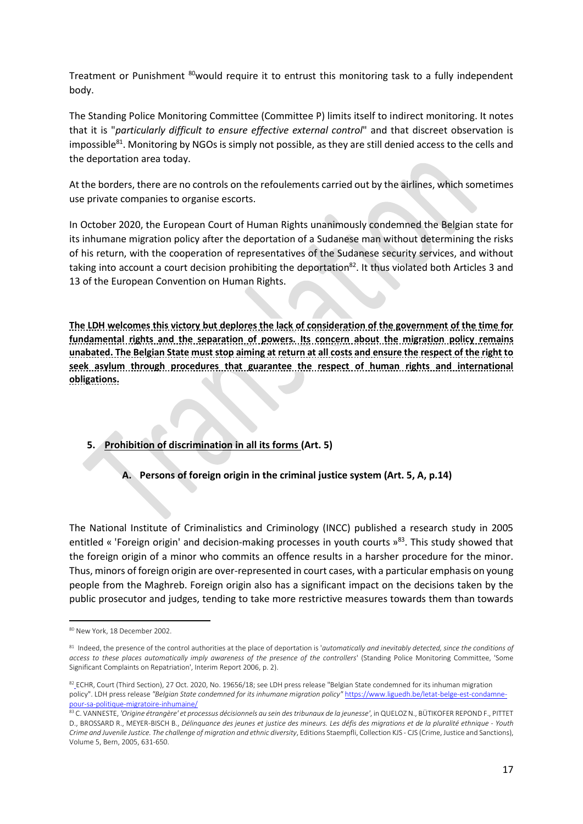Treatment or Punishment  $80$ would require it to entrust this monitoring task to a fully independent body.

The Standing Police Monitoring Committee (Committee P) limits itself to indirect monitoring. It notes that it is "*particularly difficult to ensure effective external control*" and that discreet observation is impossible<sup>81</sup>. Monitoring by NGOs is simply not possible, as they are still denied access to the cells and the deportation area today.

At the borders, there are no controls on the refoulements carried out by the airlines, which sometimes use private companies to organise escorts.

In October 2020, the European Court of Human Rights unanimously condemned the Belgian state for its inhumane migration policy after the deportation of a Sudanese man without determining the risks of his return, with the cooperation of representatives of the Sudanese security services, and without taking into account a court decision prohibiting the deportation<sup>82</sup>. It thus violated both Articles 3 and 13 of the European Convention on Human Rights.

**The LDH welcomes this victory but deplores the lack of consideration of the government of the time for fundamental rights and the separation of powers. Its concern about the migration policy remains unabated. The Belgian State must stop aiming at return at all costs and ensure the respect of the right to seek asylum through procedures that guarantee the respect of human rights and international obligations.**

# **5. Prohibition of discrimination in all its forms (Art. 5)**

**A. Persons of foreign origin in the criminal justice system (Art. 5, A, p.14)**

The National Institute of Criminalistics and Criminology (INCC) published a research study in 2005 entitled « 'Foreign origin' and decision-making processes in youth courts »<sup>83</sup>. This study showed that the foreign origin of a minor who commits an offence results in a harsher procedure for the minor. Thus, minors of foreign origin are over-represented in court cases, with a particular emphasis on young people from the Maghreb. Foreign origin also has a significant impact on the decisions taken by the public prosecutor and judges, tending to take more restrictive measures towards them than towards

**<sup>.</sup>** <sup>80</sup> New York, 18 December 2002.

<sup>&</sup>lt;sup>81</sup> Indeed, the presence of the control authorities at the place of deportation is 'automatically and inevitably detected, since the conditions of *access to these places automatically imply awareness of the presence of the controllers*' (Standing Police Monitoring Committee, 'Some Significant Complaints on Repatriation', Interim Report 2006, p. 2).

<sup>82</sup> [E](https://www.liguedh.be/letat-belge-est-condamne-pour-sa-politique-migratoire-inhumaine/)CHR, Court (Third Section), 27 Oct. 2020, No. 19656/18; see LDH press release "Belgian State condemned for its inhuman migration policy". LDH press release "Belgian State condemned for its inhumane migration policy" [https://www.liguedh.be/letat-belge-est-condamne](https://www.liguedh.be/letat-belge-est-condamne-pour-sa-politique-migratoire-inhumaine/)[pour-sa-politique-migratoire-inhumaine/](https://www.liguedh.be/letat-belge-est-condamne-pour-sa-politique-migratoire-inhumaine/)

<sup>83</sup> C. VANNESTE, *'Origine étrangère' et processus décisionnels au sein des tribunaux de la jeunesse'*, in QUELOZ N., BÜTIKOFER REPOND F., PITTET D., BROSSARD R., MEYER-BISCH B., *Délinquance des jeunes et justice des mineurs. Les défis des migrations et de la pluralité ethnique - Youth Crime and Juvenile Justice. The challenge of migration and ethnic diversity*, Editions Staempfli, Collection KJS - CJS (Crime, Justice and Sanctions), Volume 5, Bern, 2005, 631-650.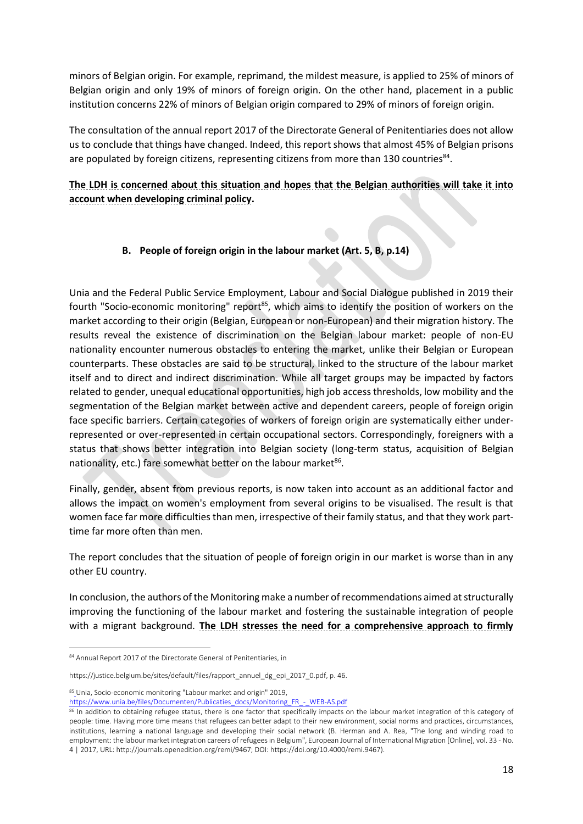minors of Belgian origin. For example, reprimand, the mildest measure, is applied to 25% of minors of Belgian origin and only 19% of minors of foreign origin. On the other hand, placement in a public institution concerns 22% of minors of Belgian origin compared to 29% of minors of foreign origin.

The consultation of the annual report 2017 of the Directorate General of Penitentiaries does not allow us to conclude that things have changed. Indeed, this report shows that almost 45% of Belgian prisons are populated by foreign citizens, representing citizens from more than 130 countries<sup>84</sup>.

# **The LDH is concerned about this situation and hopes that the Belgian authorities will take it into account when developing criminal policy.**

## **B. People of foreign origin in the labour market (Art. 5, B, p.14)**

Unia and the Federal Public Service Employment, Labour and Social Dialogue published in 2019 their fourth "Socio-economic monitoring" report<sup>85</sup>, which aims to identify the position of workers on the market according to their origin (Belgian, European or non-European) and their migration history. The results reveal the existence of discrimination on the Belgian labour market: people of non-EU nationality encounter numerous obstacles to entering the market, unlike their Belgian or European counterparts. These obstacles are said to be structural, linked to the structure of the labour market itself and to direct and indirect discrimination. While all target groups may be impacted by factors related to gender, unequal educational opportunities, high job access thresholds, low mobility and the segmentation of the Belgian market between active and dependent careers, people of foreign origin face specific barriers. Certain categories of workers of foreign origin are systematically either underrepresented or over-represented in certain occupational sectors. Correspondingly, foreigners with a status that shows better integration into Belgian society (long-term status, acquisition of Belgian nationality, etc.) fare somewhat better on the labour market<sup>86</sup>.

Finally, gender, absent from previous reports, is now taken into account as an additional factor and allows the impact on women's employment from several origins to be visualised. The result is that women face far more difficulties than men, irrespective of their family status, and that they work parttime far more often than men.

The report concludes that the situation of people of foreign origin in our market is worse than in any other EU country.

In conclusion, the authors of the Monitoring make a number of recommendations aimed at structurally improving the functioning of the labour market and fostering the sustainable integration of people with a migrant background. **The LDH stresses the need for a comprehensive approach to firmly** 

<sup>84</sup> Annual Report 2017 of the Directorate General of Penitentiaries, in

https://justice.belgium.be/sites/default/files/rapport\_annuel\_dg\_epi\_2017\_0.pdf, p. 46.

<sup>85</sup> [U](https://www.unia.be/files/Documenten/Publicaties_docs/Monitoring_FR_-_WEB-AS.pdf)nia, Socio-economic monitoring "Labour market and origin" 2019,

[https://www.unia.be/files/Documenten/Publicaties\\_docs/Monitoring\\_FR\\_-\\_WEB-AS.pdf](https://www.unia.be/files/Documenten/Publicaties_docs/Monitoring_FR_-_WEB-AS.pdf)

<sup>86</sup> In addition to obtaining refugee status, there is one factor that specifically impacts on the labour market integration of this category of people: time. Having more time means that refugees can better adapt to their new environment, social norms and practices, circumstances, institutions, learning a national language and developing their social network (B. Herman and A. Rea, "The long and winding road to employment: the labour market integration careers of refugees in Belgium", European Journal of International Migration [Online], vol. 33 - No. 4 | 2017, URL: http://journals.openedition.org/remi/9467; DOI: https://doi.org/10.4000/remi.9467).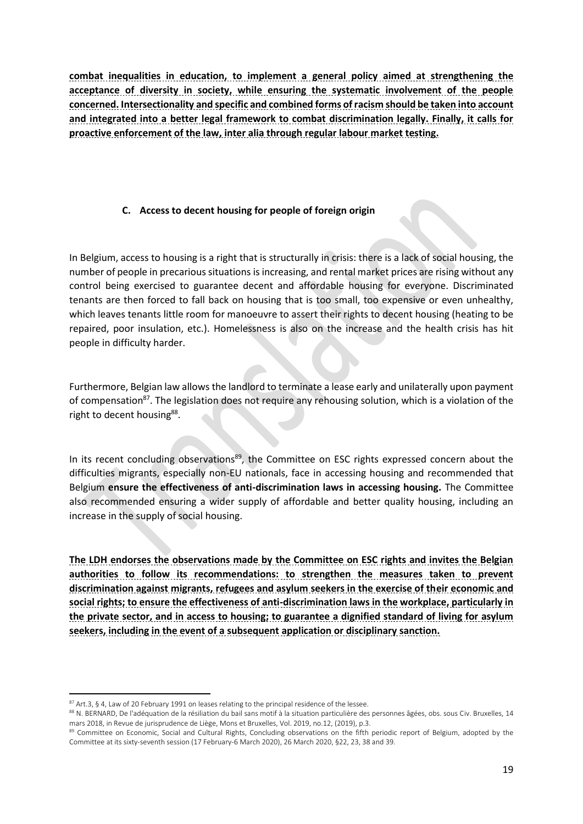**combat inequalities in education, to implement a general policy aimed at strengthening the acceptance of diversity in society, while ensuring the systematic involvement of the people concerned. Intersectionality and specific and combined forms of racism should be taken into account and integrated into a better legal framework to combat discrimination legally. Finally, it calls for proactive enforcement of the law, inter alia through regular labour market testing.**

## **C. Access to decent housing for people of foreign origin**

In Belgium, access to housing is a right that is structurally in crisis: there is a lack of social housing, the number of people in precarious situations is increasing, and rental market prices are rising without any control being exercised to guarantee decent and affordable housing for everyone. Discriminated tenants are then forced to fall back on housing that is too small, too expensive or even unhealthy, which leaves tenants little room for manoeuvre to assert their rights to decent housing (heating to be repaired, poor insulation, etc.). Homelessness is also on the increase and the health crisis has hit people in difficulty harder.

Furthermore, Belgian law allows the landlord to terminate a lease early and unilaterally upon payment of compensation<sup>87</sup>. The legislation does not require any rehousing solution, which is a violation of the right to decent housing<sup>88</sup>.

In its recent concluding observations<sup>89</sup>, the Committee on ESC rights expressed concern about the difficulties migrants, especially non-EU nationals, face in accessing housing and recommended that Belgium **ensure the effectiveness of anti-discrimination laws in accessing housing.** The Committee also recommended ensuring a wider supply of affordable and better quality housing, including an increase in the supply of social housing.

**The LDH endorses the observations made by the Committee on ESC rights and invites the Belgian authorities to follow its recommendations: to strengthen the measures taken to prevent discrimination against migrants, refugees and asylum seekers in the exercise of their economic and social rights; to ensure the effectiveness of anti-discrimination laws in the workplace, particularly in the private sector, and in access to housing; to guarantee a dignified standard of living for asylum seekers, including in the event of a subsequent application or disciplinary sanction.** 

<sup>1</sup> 87 Art.3, § 4, Law of 20 February 1991 on leases relating to the principal residence of the lessee.

<sup>88</sup> N. BERNARD, De l'adéquation de la résiliation du bail sans motif à la situation particulière des personnes âgées, obs. sous Civ. Bruxelles, 14 mars 2018, in Revue de jurisprudence de Liège, Mons et Bruxelles, Vol. 2019, no.12, (2019), p.3.

<sup>89</sup> Committee on Economic, Social and Cultural Rights, Concluding observations on the fifth periodic report of Belgium, adopted by the Committee at its sixty-seventh session (17 February-6 March 2020), 26 March 2020, §22, 23, 38 and 39.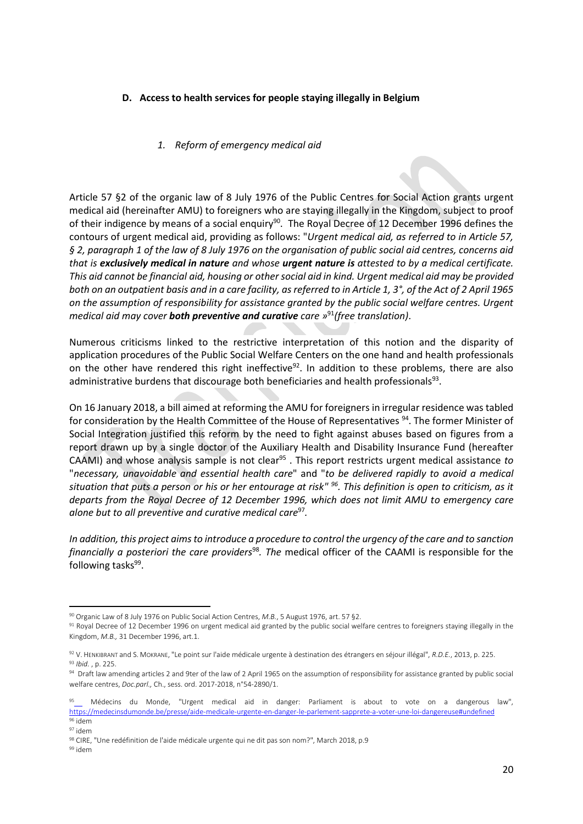#### **D. Access to health services for people staying illegally in Belgium**

#### *1. Reform of emergency medical aid*

Article 57 §2 of the organic law of 8 July 1976 of the Public Centres for Social Action grants urgent medical aid (hereinafter AMU) to foreigners who are staying illegally in the Kingdom, subject to proof of their indigence by means of a social enquiry<sup>90</sup>. The Royal Decree of 12 December 1996 defines the contours of urgent medical aid, providing as follows: "*Urgent medical aid, as referred to in Article 57, § 2, paragraph 1 of the law of 8 July 1976 on the organisation of public social aid centres, concerns aid that is exclusively medical in nature and whose urgent nature is attested to by a medical certificate. This aid cannot be financial aid, housing or other social aid in kind. Urgent medical aid may be provided both on an outpatient basis and in a care facility, as referred to in Article 1, 3°, of the Act of 2 April 1965 on the assumption of responsibility for assistance granted by the public social welfare centres. Urgent medical aid may cover both preventive and curative care »* <sup>91</sup>*(free translation)*.

Numerous criticisms linked to the restrictive interpretation of this notion and the disparity of application procedures of the Public Social Welfare Centers on the one hand and health professionals on the other have rendered this right ineffective<sup>92</sup>. In addition to these problems, there are also administrative burdens that discourage both beneficiaries and health professionals<sup>93</sup>.

On 16 January 2018, a bill aimed at reforming the AMU for foreigners in irregular residence was tabled for consideration by the Health Committee of the House of Representatives <sup>94</sup>. The former Minister of Social Integration justified this reform by the need to fight against abuses based on figures from a report drawn up by a single doctor of the Auxiliary Health and Disability Insurance Fund (hereafter CAAMI) and whose analysis sample is not clear<sup>95</sup> . This report restricts urgent medical assistance *to* "*necessary, unavoidable and essential health care*" and "*to be delivered rapidly to avoid a medical situation that puts a person or his or her entourage at risk" <sup>96</sup>. This definition is open to criticism, as it departs from the Royal Decree of 12 December 1996, which does not limit AMU to emergency care alone but to all preventive and curative medical care*<sup>97</sup> *.* 

*In addition, this project aims to introduce a procedure to control the urgency of the care and to sanction financially a posteriori the care providers*<sup>98</sup>*. The* medical officer of the CAAMI is responsible for the following tasks<sup>99</sup>.

<sup>90</sup> Organic Law of 8 July 1976 on Public Social Action Centres, *M.B.*, 5 August 1976, art. 57 §2.

<sup>91</sup> Royal Decree of 12 December 1996 on urgent medical aid granted by the public social welfare centres to foreigners staying illegally in the Kingdom, *M.B.,* 31 December 1996, art.1.

<sup>92</sup> V. HENKIBRANT and S. MOKRANE,"Le point sur l'aide médicale urgente à destination des étrangers en séjour illégal", *R.D.E.*, 2013, p. 225. <sup>93</sup> *Ibid.* , p. 225.

<sup>94</sup> Draft law amending articles 2 and 9ter of the law of 2 April 1965 on the assumption of responsibility for assistance granted by public social welfare centres, *Doc.parl.,* Ch., sess. ord. 2017-2018, n°54-2890/1.

<sup>9</sup>[5](https://medecinsdumonde.be/presse/aide-medicale-urgente-en-danger-le-parlement-sapprete-a-voter-une-loi-dangereuse#undefined) Médecins du Monde, "Urgent medical aid in danger: Parliament is about to vote on a dangerous law", <https://medecinsdumonde.be/presse/aide-medicale-urgente-en-danger-le-parlement-sapprete-a-voter-une-loi-dangereuse#undefined> <sup>96</sup> idem

<sup>97</sup> idem

<sup>98</sup> CIRE, "Une redéfinition de l'aide médicale urgente qui ne dit pas son nom?", March 2018, p.9

<sup>99</sup> idem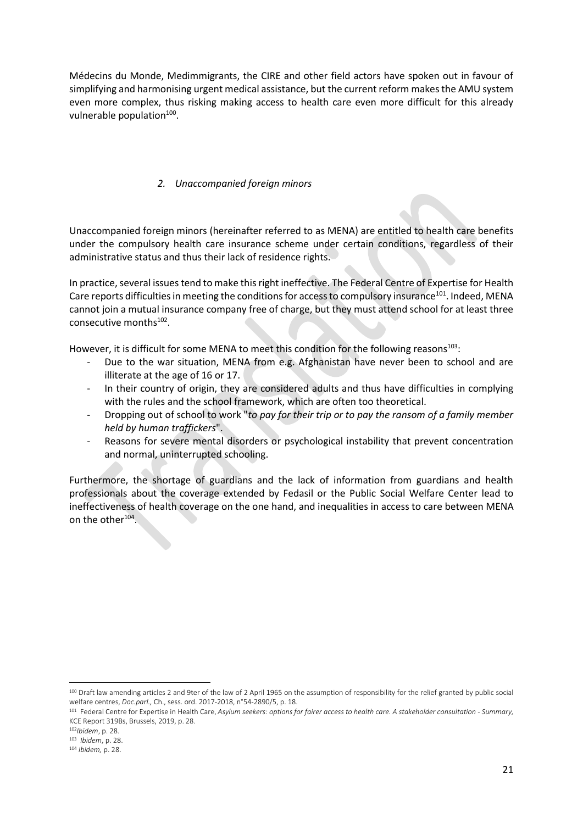Médecins du Monde, Medimmigrants, the CIRE and other field actors have spoken out in favour of simplifying and harmonising urgent medical assistance, but the current reform makes the AMU system even more complex, thus risking making access to health care even more difficult for this already vulnerable population<sup>100</sup>.

### *2. Unaccompanied foreign minors*

Unaccompanied foreign minors (hereinafter referred to as MENA) are entitled to health care benefits under the compulsory health care insurance scheme under certain conditions, regardless of their administrative status and thus their lack of residence rights.

In practice, several issues tend to make this right ineffective. The Federal Centre of Expertise for Health Care reports difficulties in meeting the conditions for access to compulsory insurance<sup>101</sup>. Indeed, MENA cannot join a mutual insurance company free of charge, but they must attend school for at least three consecutive months<sup>102</sup>.

However, it is difficult for some MENA to meet this condition for the following reasons<sup>103</sup>:

- Due to the war situation, MENA from e.g. Afghanistan have never been to school and are illiterate at the age of 16 or 17.
- In their country of origin, they are considered adults and thus have difficulties in complying with the rules and the school framework, which are often too theoretical.
- Dropping out of school to work "*to pay for their trip or to pay the ransom of a family member held by human traffickers*".
- Reasons for severe mental disorders or psychological instability that prevent concentration and normal, uninterrupted schooling.

Furthermore, the shortage of guardians and the lack of information from guardians and health professionals about the coverage extended by Fedasil or the Public Social Welfare Center lead to ineffectiveness of health coverage on the one hand, and inequalities in access to care between MENA on the other<sup>104</sup>.

 $\overline{a}$ 

<sup>100</sup> Draft law amending articles 2 and 9ter of the law of 2 April 1965 on the assumption of responsibility for the relief granted by public social welfare centres, *Doc.parl.,* Ch., sess. ord. 2017-2018, n°54-2890/5, p. 18.

<sup>101</sup> Federal Centre for Expertise in Health Care, *Asylum seekers: options for fairer access to health care. A stakeholder consultation - Summary,*  KCE Report 319Bs, Brussels, 2019, p. 28.

<sup>102</sup>*Ibidem*, p. 28.

<sup>103</sup> *Ibidem*, p. 28.

<sup>104</sup> *Ibidem,* p. 28.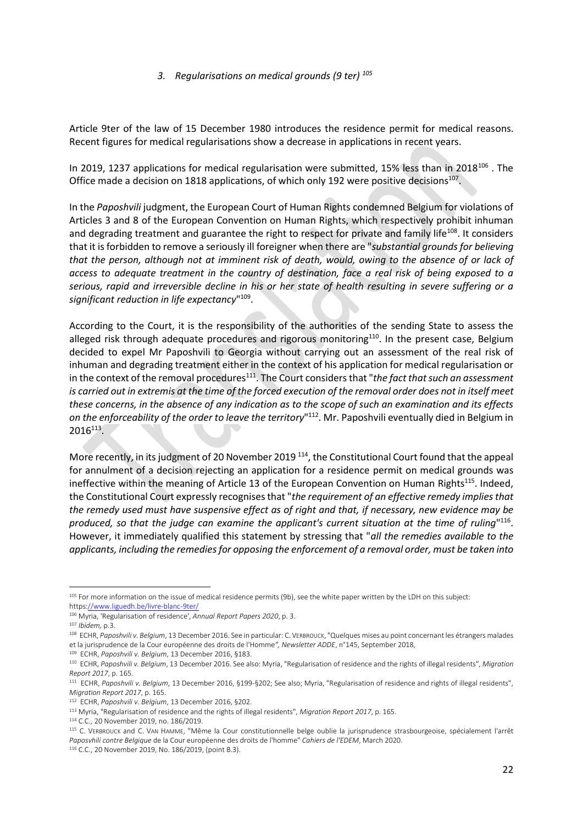#### *3. Regularisations on medical grounds (9 ter) <sup>105</sup>*

Article 9ter of the law of 15 December 1980 introduces the residence permit for medical reasons. Recent figures for medical regularisations show a decrease in applications in recent years.

In 2019, 1237 applications for medical regularisation were submitted, 15% less than in 2018<sup>106</sup>. The Office made a decision on 1818 applications, of which only 192 were positive decisions $^{107}$ .

In the *Paposhvili* judgment, the European Court of Human Rights condemned Belgium for violations of Articles 3 and 8 of the European Convention on Human Rights, which respectively prohibit inhuman and degrading treatment and guarantee the right to respect for private and family life<sup>108</sup>. It considers that it is forbidden to remove a seriously ill foreigner when there are "*substantial grounds for believing that the person, although not at imminent risk of death, would, owing to the absence of or lack of access to adequate treatment in the country of destination, face a real risk of being exposed to a serious, rapid and irreversible decline in his or her state of health resulting in severe suffering or a significant reduction in life expectancy*" 109 .

According to the Court, it is the responsibility of the authorities of the sending State to assess the alleged risk through adequate procedures and rigorous monitoring<sup>110</sup>. In the present case, Belgium decided to expel Mr Paposhvili to Georgia without carrying out an assessment of the real risk of inhuman and degrading treatment either in the context of his application for medical regularisation or in the context of the removal procedures<sup>111</sup>. The Court considers that "*the fact that such an assessment is carried out in extremis at the time of the forced execution of the removal order does not in itself meet these concerns, in the absence of any indication as to the scope of such an examination and its effects on the enforceability of the order to leave the territory*" <sup>112</sup>. Mr. Paposhvili eventually died in Belgium in  $2016^{113}$ .

More recently, in its judgment of 20 November 2019<sup>114</sup>, the Constitutional Court found that the appeal for annulment of a decision rejecting an application for a residence permit on medical grounds was ineffective within the meaning of Article 13 of the European Convention on Human Rights<sup>115</sup>. Indeed, the Constitutional Court expressly recognises that "*the requirement of an effective remedy implies that the remedy used must have suspensive effect as of right and that, if necessary, new evidence may be*  produced, so that the judge can examine the applicant's current situation at the time of ruling"<sup>116</sup>. However, it immediately qualified this statement by stressing that "*all the remedies available to the applicants, including the remedies for opposing the enforcement of a removal order, must be taken into* 

**.** 

<sup>114</sup> C.C., 20 November 2019, no. 186/2019.

<sup>105</sup> For more information on the issue of medical residence permits (9b), see the white paper written by the LDH on this subject: http[s://www.liguedh.be/livre-blanc-9ter/](https://www.liguedh.be/livre-blanc-9ter/)

<sup>106</sup> Myria, 'Regularisation of residence', *Annual Report Papers 2020*, p. 3.

<sup>107</sup> *Ibidem,* p.3.

<sup>108</sup> ECHR, *Paposhvili v. Belgium*, 13 December 2016. See in particular: C. VERBROUCK,"Quelques mises au point concernant les étrangers malades et la jurisprudence de la Cour européenne des droits de l'Homme*", Newsletter ADDE*, n°145, September 2018,

<sup>109</sup> ECHR, *Paposhvili v. Belgium*, 13 December 2016, §183.

<sup>110</sup> ECHR, *Paposhvili v. Belgium*, 13 December 2016. See also: Myria, "Regularisation of residence and the rights of illegal residents", *Migration Report 2017*, p. 165.

<sup>111</sup> ECHR, *Paposhvili v. Belgium*, 13 December 2016, §199-§202; See also; Myria, "Regularisation of residence and rights of illegal residents", *Migration Report 2017*, p. 165.

<sup>112</sup> ECHR, *Paposhvili v. Belgium*, 13 December 2016, §202.

<sup>113</sup> Myria, "Regularisation of residence and the rights of illegal residents", *Migration Report 2017*, p. 165.

<sup>115</sup> C. VERBROUCK and C. VAN HAMME, "Même la Cour constitutionnelle belge oublie la jurisprudence strasbourgeoise, spécialement l'arrêt *Paposvhili contre Belgique* de la Cour européenne des droits de l'homme" *Cahiers de l'EDEM*, March 2020.

<sup>116</sup> C.C., 20 November 2019, No. 186/2019, (point B.3).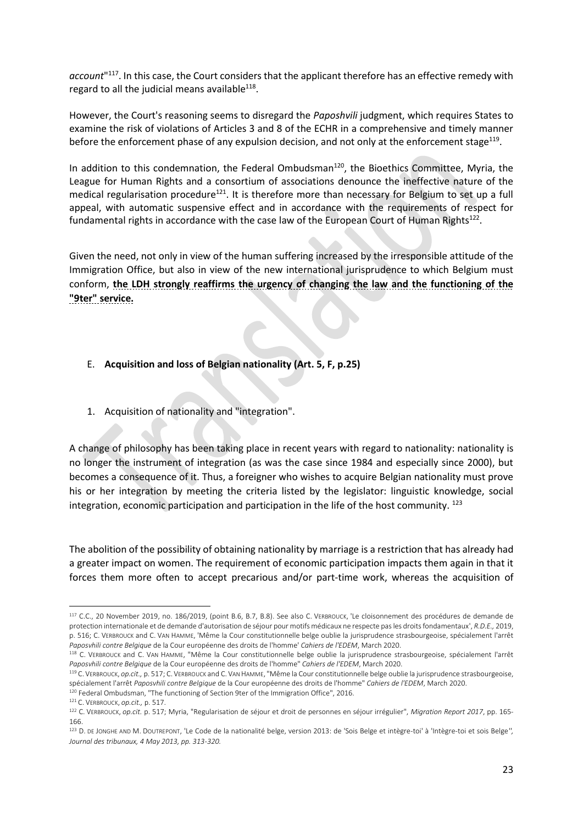*account*" <sup>117</sup>. In this case, the Court considers that the applicant therefore has an effective remedy with regard to all the judicial means available $^{118}$ .

However, the Court's reasoning seems to disregard the *Paposhvili* judgment, which requires States to examine the risk of violations of Articles 3 and 8 of the ECHR in a comprehensive and timely manner before the enforcement phase of any expulsion decision, and not only at the enforcement stage<sup>119</sup>.

In addition to this condemnation, the Federal Ombudsman<sup>120</sup>, the Bioethics Committee, Myria, the League for Human Rights and a consortium of associations denounce the ineffective nature of the medical regularisation procedure<sup>121</sup>. It is therefore more than necessary for Belgium to set up a full appeal, with automatic suspensive effect and in accordance with the requirements of respect for fundamental rights in accordance with the case law of the European Court of Human Rights<sup>122</sup>.

Given the need, not only in view of the human suffering increased by the irresponsible attitude of the Immigration Office, but also in view of the new international jurisprudence to which Belgium must conform, **the LDH strongly reaffirms the urgency of changing the law and the functioning of the "9ter" service.**

- E. **Acquisition and loss of Belgian nationality (Art. 5, F, p.25)**
- 1. Acquisition of nationality and "integration".

A change of philosophy has been taking place in recent years with regard to nationality: nationality is no longer the instrument of integration (as was the case since 1984 and especially since 2000), but becomes a consequence of it. Thus, a foreigner who wishes to acquire Belgian nationality must prove his or her integration by meeting the criteria listed by the legislator: linguistic knowledge, social integration, economic participation and participation in the life of the host community. <sup>123</sup>

The abolition of the possibility of obtaining nationality by marriage is a restriction that has already had a greater impact on women. The requirement of economic participation impacts them again in that it forces them more often to accept precarious and/or part-time work, whereas the acquisition of

<sup>119</sup> C. VERBROUCK, *op.cit.,* p. 517; C. VERBROUCK and C. VAN HAMME,"Même la Cour constitutionnelle belge oublie la jurisprudence strasbourgeoise, spécialement l'arrêt *Paposvhili contre Belgique* de la Cour européenne des droits de l'homme" *Cahiers de l'EDEM*, March 2020.

<sup>117</sup> C.C., 20 November 2019, no. 186/2019, (point B.6, B.7, B.8). See also C. VERBROUCK, 'Le cloisonnement des procédures de demande de protection internationale et de demande d'autorisation de séjour pour motifs médicaux ne respecte pas les droits fondamentaux', *R.D.E.,* 2019, p. 516; C. VERBROUCK and C. VAN HAMME, 'Même la Cour constitutionnelle belge oublie la jurisprudence strasbourgeoise, spécialement l'arrêt *Paposvhili contre Belgique* de la Cour européenne des droits de l'homme' *Cahiers de l'EDEM*, March 2020.

<sup>118</sup> C. VERBROUCK and C. VAN HAMME, "Même la Cour constitutionnelle belge oublie la jurisprudence strasbourgeoise, spécialement l'arrêt *Paposvhili contre Belgique* de la Cour européenne des droits de l'homme" *Cahiers de l'EDEM*, March 2020.

<sup>120</sup> Federal Ombudsman, "The functioning of Section 9ter of the Immigration Office", 2016.

<sup>121</sup> C. VERBROUCK, *op.cit.,* p. 517.

<sup>122</sup> C. VERBROUCK, *op.cit.* p. 517; Myria, "Regularisation de séjour et droit de personnes en séjour irrégulier", *Migration Report 2017*, pp. 165- 166.

<sup>123</sup> D. DE JONGHE AND M. DOUTREPONT, 'Le Code de la nationalité belge, version 2013: de 'Sois Belge et intègre-toi' à 'Intègre-toi et sois Belge*'', Journal des tribunaux, 4 May 2013, pp. 313-320.*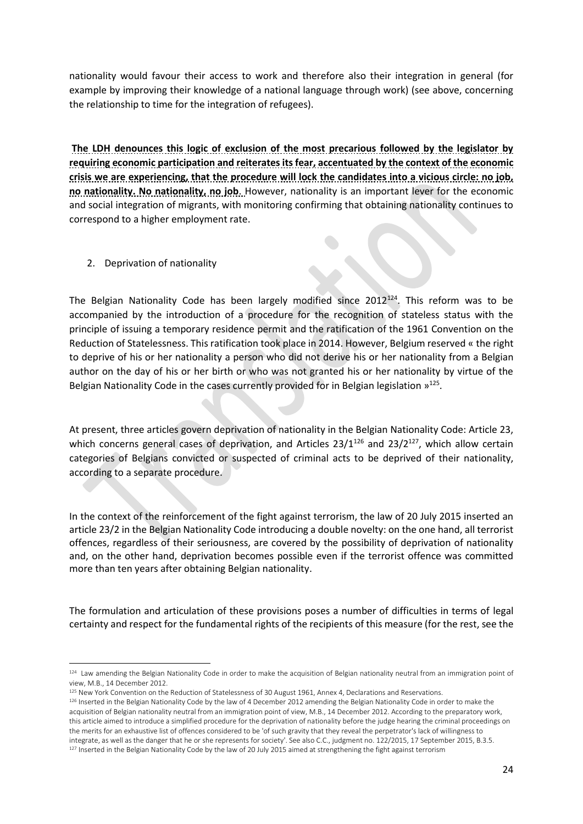nationality would favour their access to work and therefore also their integration in general (for example by improving their knowledge of a national language through work) (see above, concerning the relationship to time for the integration of refugees).

**The LDH denounces this logic of exclusion of the most precarious followed by the legislator by requiring economic participation and reiterates its fear, accentuated by the context of the economic crisis we are experiencing, that the procedure will lock the candidates into a vicious circle: no job, no nationality. No nationality, no job**. However, nationality is an important lever for the economic and social integration of migrants, with monitoring confirming that obtaining nationality continues to correspond to a higher employment rate.

2. Deprivation of nationality

The Belgian Nationality Code has been largely modified since  $2012^{124}$ . This reform was to be accompanied by the introduction of a procedure for the recognition of stateless status with the principle of issuing a temporary residence permit and the ratification of the 1961 Convention on the Reduction of Statelessness. This ratification took place in 2014. However, Belgium reserved « the right to deprive of his or her nationality a person who did not derive his or her nationality from a Belgian author on the day of his or her birth or who was not granted his or her nationality by virtue of the Belgian Nationality Code in the cases currently provided for in Belgian legislation  $v^{125}$ .

At present, three articles govern deprivation of nationality in the Belgian Nationality Code: Article 23, which concerns general cases of deprivation, and Articles  $23/1^{126}$  and  $23/2^{127}$ , which allow certain categories of Belgians convicted or suspected of criminal acts to be deprived of their nationality, according to a separate procedure.

In the context of the reinforcement of the fight against terrorism, the law of 20 July 2015 inserted an article 23/2 in the Belgian Nationality Code introducing a double novelty: on the one hand, all terrorist offences, regardless of their seriousness, are covered by the possibility of deprivation of nationality and, on the other hand, deprivation becomes possible even if the terrorist offence was committed more than ten years after obtaining Belgian nationality.

The formulation and articulation of these provisions poses a number of difficulties in terms of legal certainty and respect for the fundamental rights of the recipients of this measure (for the rest, see the

<sup>1</sup> <sup>124</sup> Law amending the Belgian Nationality Code in order to make the acquisition of Belgian nationality neutral from an immigration point of view, M.B., 14 December 2012.

<sup>125</sup> New York Convention on the Reduction of Statelessness of 30 August 1961, Annex 4, Declarations and Reservations.

<sup>&</sup>lt;sup>126</sup> Inserted in the Belgian Nationality Code by the law of 4 December 2012 amending the Belgian Nationality Code in order to make the acquisition of Belgian nationality neutral from an immigration point of view, M.B., 14 December 2012. According to the preparatory work, this article aimed to introduce a simplified procedure for the deprivation of nationality before the judge hearing the criminal proceedings on the merits for an exhaustive list of offences considered to be 'of such gravity that they reveal the perpetrator's lack of willingness to integrate, as well as the danger that he or she represents for society'. See also C.C., judgment no. 122/2015, 17 September 2015, B.3.5. 127 Inserted in the Belgian Nationality Code by the law of 20 July 2015 aimed at strengthening the fight against terrorism